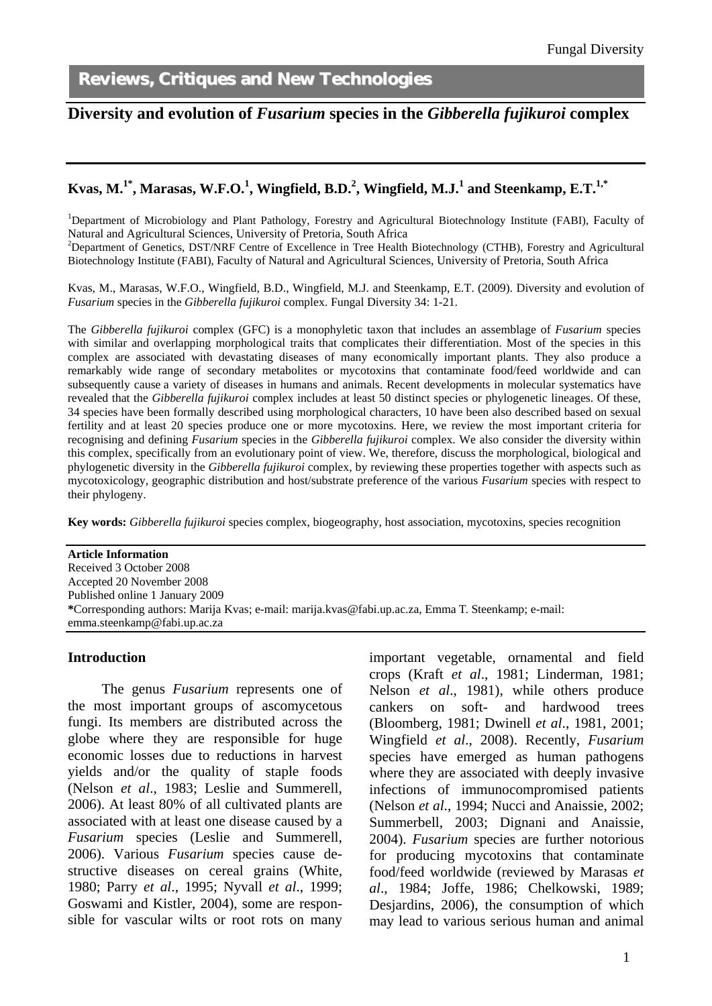l

Reviews, Critiques and New Technologies

# **Diversity and evolution of** *Fusarium* **species in the** *Gibberella fujikuroi* **complex**

### $\bold{K}$ vas, M. $^{1*}$ , Marasas, W.F.O. $^{1}$ , Wingfield, B.D. $^{2}$ , Wingfield, M.J. $^{1}$  and Steenkamp, E.T. $^{1,*}$

<sup>1</sup>Department of Microbiology and Plant Pathology, Forestry and Agricultural Biotechnology Institute (FABI), Faculty of Natural and Agricultural Sciences, University of Pretoria, South Africa

<sup>2</sup>Department of Genetics, DST/NRF Centre of Excellence in Tree Health Biotechnology (CTHB), Forestry and Agricultural Biotechnology Institute (FABI), Faculty of Natural and Agricultural Sciences, University of Pretoria, South Africa

Kvas, M., Marasas, W.F.O., Wingfield, B.D., Wingfield, M.J. and Steenkamp, E.T. (2009). Diversity and evolution of *Fusarium* species in the *Gibberella fujikuroi* complex. Fungal Diversity 34: 1-21.

The *Gibberella fujikuroi* complex (GFC) is a monophyletic taxon that includes an assemblage of *Fusarium* species with similar and overlapping morphological traits that complicates their differentiation. Most of the species in this complex are associated with devastating diseases of many economically important plants. They also produce a remarkably wide range of secondary metabolites or mycotoxins that contaminate food/feed worldwide and can subsequently cause a variety of diseases in humans and animals. Recent developments in molecular systematics have revealed that the *Gibberella fujikuroi* complex includes at least 50 distinct species or phylogenetic lineages. Of these, 34 species have been formally described using morphological characters, 10 have been also described based on sexual fertility and at least 20 species produce one or more mycotoxins. Here, we review the most important criteria for recognising and defining *Fusarium* species in the *Gibberella fujikuroi* complex. We also consider the diversity within this complex, specifically from an evolutionary point of view. We, therefore, discuss the morphological, biological and phylogenetic diversity in the *Gibberella fujikuroi* complex, by reviewing these properties together with aspects such as mycotoxicology, geographic distribution and host/substrate preference of the various *Fusarium* species with respect to their phylogeny.

**Key words:** *Gibberella fujikuroi* species complex, biogeography, host association, mycotoxins, species recognition

**Article Information**  Received 3 October 2008 Accepted 20 November 2008 Published online 1 January 2009 **\***Corresponding authors: Marija Kvas; e-mail: marija.kvas@fabi.up.ac.za, Emma T. Steenkamp; e-mail: emma.steenkamp@fabi.up.ac.za

#### **Introduction**

The genus *Fusarium* represents one of the most important groups of ascomycetous fungi. Its members are distributed across the globe where they are responsible for huge economic losses due to reductions in harvest yields and/or the quality of staple foods (Nelson *et al*., 1983; Leslie and Summerell, 2006). At least 80% of all cultivated plants are associated with at least one disease caused by a *Fusarium* species (Leslie and Summerell, 2006). Various *Fusarium* species cause destructive diseases on cereal grains (White, 1980; Parry *et al*., 1995; Nyvall *et al*., 1999; Goswami and Kistler, 2004), some are responsible for vascular wilts or root rots on many important vegetable, ornamental and field crops (Kraft *et al*., 1981; Linderman, 1981; Nelson *et al*., 1981), while others produce cankers on soft- and hardwood trees (Bloomberg, 1981; Dwinell *et al*., 1981, 2001; Wingfield *et al*., 2008). Recently, *Fusarium* species have emerged as human pathogens where they are associated with deeply invasive infections of immunocompromised patients (Nelson *et al*., 1994; Nucci and Anaissie, 2002; Summerbell, 2003; Dignani and Anaissie, 2004). *Fusarium* species are further notorious for producing mycotoxins that contaminate food/feed worldwide (reviewed by Marasas *et al*., 1984; Joffe, 1986; Chelkowski, 1989; Desjardins, 2006), the consumption of which may lead to various serious human and animal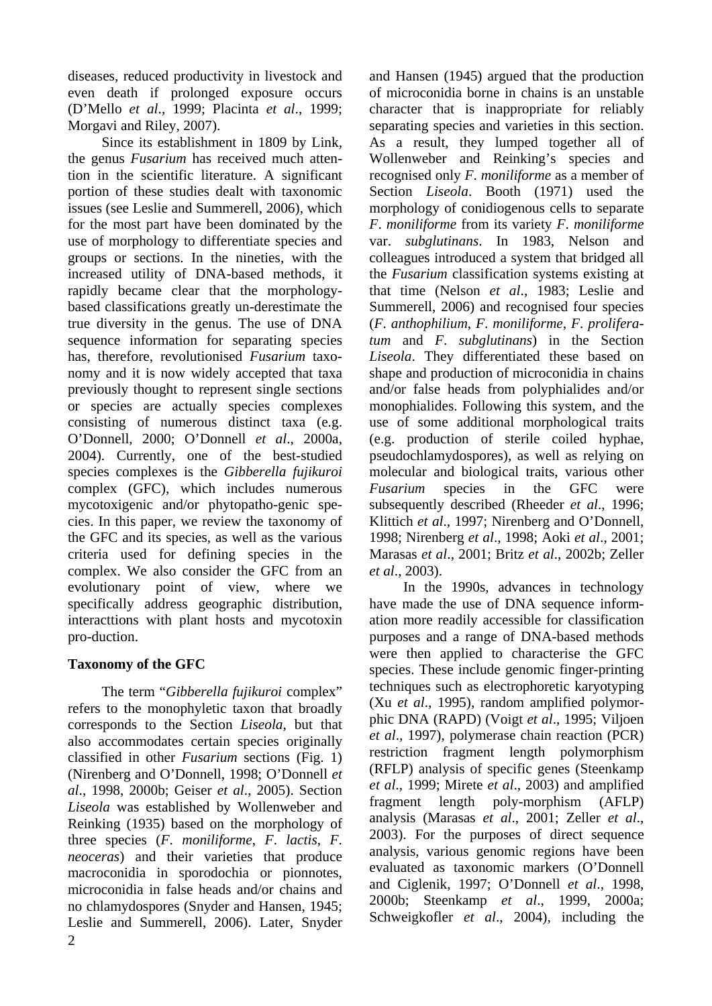diseases, reduced productivity in livestock and even death if prolonged exposure occurs (D'Mello *et al*., 1999; Placinta *et al*., 1999; Morgavi and Riley, 2007).

Since its establishment in 1809 by Link, the genus *Fusarium* has received much attention in the scientific literature. A significant portion of these studies dealt with taxonomic issues (see Leslie and Summerell, 2006), which for the most part have been dominated by the use of morphology to differentiate species and groups or sections. In the nineties, with the increased utility of DNA-based methods, it rapidly became clear that the morphologybased classifications greatly un-derestimate the true diversity in the genus. The use of DNA sequence information for separating species has, therefore, revolutionised *Fusarium* taxonomy and it is now widely accepted that taxa previously thought to represent single sections or species are actually species complexes consisting of numerous distinct taxa (e.g. O'Donnell, 2000; O'Donnell *et al*., 2000a, 2004). Currently, one of the best-studied species complexes is the *Gibberella fujikuroi* complex (GFC), which includes numerous mycotoxigenic and/or phytopatho-genic species. In this paper, we review the taxonomy of the GFC and its species, as well as the various criteria used for defining species in the complex. We also consider the GFC from an evolutionary point of view, where we specifically address geographic distribution, interacttions with plant hosts and mycotoxin pro-duction.

# **Taxonomy of the GFC**

The term "*Gibberella fujikuroi* complex" refers to the monophyletic taxon that broadly corresponds to the Section *Liseola*, but that also accommodates certain species originally classified in other *Fusarium* sections (Fig. 1) (Nirenberg and O'Donnell, 1998; O'Donnell *et al*., 1998, 2000b; Geiser *et al*., 2005). Section *Liseola* was established by Wollenweber and Reinking (1935) based on the morphology of three species (*F*. *moniliforme*, *F*. *lactis*, *F*. *neoceras*) and their varieties that produce macroconidia in sporodochia or pionnotes, microconidia in false heads and/or chains and no chlamydospores (Snyder and Hansen, 1945; Leslie and Summerell, 2006). Later, Snyder

and Hansen (1945) argued that the production of microconidia borne in chains is an unstable character that is inappropriate for reliably separating species and varieties in this section. As a result, they lumped together all of Wollenweber and Reinking's species and recognised only *F*. *moniliforme* as a member of Section *Liseola*. Booth (1971) used the morphology of conidiogenous cells to separate *F*. *moniliforme* from its variety *F*. *moniliforme* var. *subglutinans*. In 1983, Nelson and colleagues introduced a system that bridged all the *Fusarium* classification systems existing at that time (Nelson *et al*., 1983; Leslie and Summerell, 2006) and recognised four species (*F*. *anthophilium*, *F*. *moniliforme*, *F*. *proliferatum* and *F*. *subglutinans*) in the Section *Liseola*. They differentiated these based on shape and production of microconidia in chains and/or false heads from polyphialides and/or monophialides. Following this system, and the use of some additional morphological traits (e.g. production of sterile coiled hyphae, pseudochlamydospores), as well as relying on molecular and biological traits, various other *Fusarium* species in the GFC were subsequently described (Rheeder *et al*., 1996; Klittich *et al*., 1997; Nirenberg and O'Donnell, 1998; Nirenberg *et al*., 1998; Aoki *et al*., 2001; Marasas *et al*., 2001; Britz *et al*., 2002b; Zeller *et al*., 2003).

In the 1990s, advances in technology have made the use of DNA sequence information more readily accessible for classification purposes and a range of DNA-based methods were then applied to characterise the GFC species. These include genomic finger-printing techniques such as electrophoretic karyotyping (Xu *et al*., 1995), random amplified polymorphic DNA (RAPD) (Voigt *et al*., 1995; Viljoen *et al*., 1997), polymerase chain reaction (PCR) restriction fragment length polymorphism (RFLP) analysis of specific genes (Steenkamp *et al*., 1999; Mirete *et al*., 2003) and amplified fragment length poly-morphism (AFLP) analysis (Marasas *et al*., 2001; Zeller *et al*., 2003). For the purposes of direct sequence analysis, various genomic regions have been evaluated as taxonomic markers (O'Donnell and Ciglenik, 1997; O'Donnell *et al*., 1998, 2000b; Steenkamp *et al*., 1999, 2000a; Schweigkofler *et al*., 2004), including the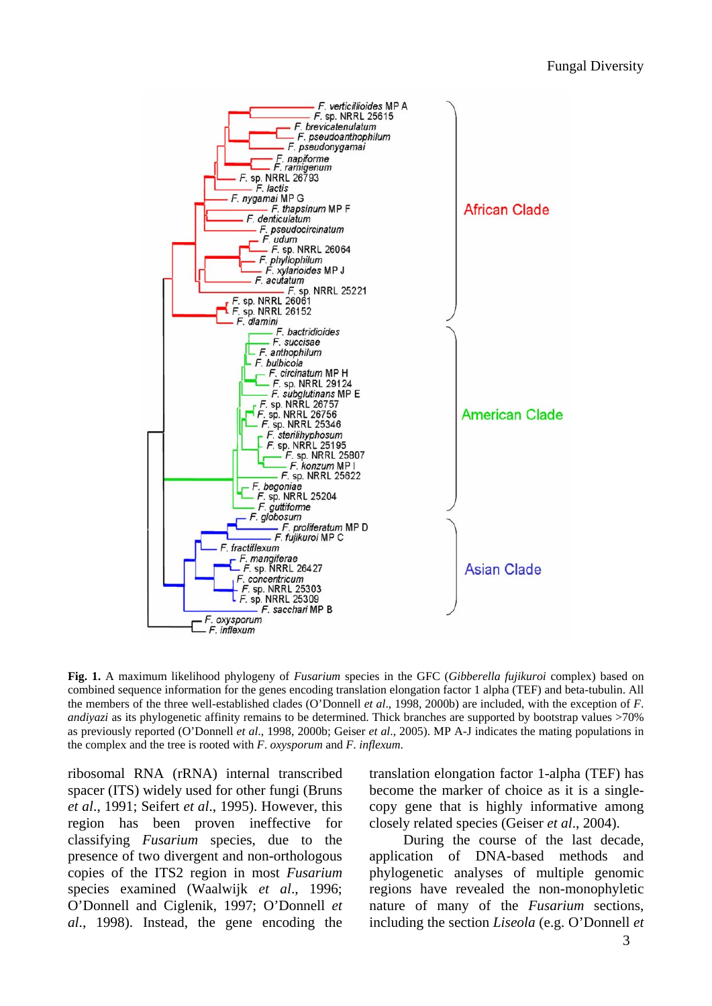

**Fig. 1.** A maximum likelihood phylogeny of *Fusarium* species in the GFC (*Gibberella fujikuroi* complex) based on combined sequence information for the genes encoding translation elongation factor 1 alpha (TEF) and beta-tubulin. All the members of the three well-established clades (O'Donnell *et al*., 1998, 2000b) are included, with the exception of *F*. *andiyazi* as its phylogenetic affinity remains to be determined. Thick branches are supported by bootstrap values >70% as previously reported (O'Donnell *et al*., 1998, 2000b; Geiser *et al*., 2005). MP A-J indicates the mating populations in the complex and the tree is rooted with *F*. *oxysporum* and *F*. *inflexum*.

ribosomal RNA (rRNA) internal transcribed spacer (ITS) widely used for other fungi (Bruns *et al*., 1991; Seifert *et al*., 1995). However, this region has been proven ineffective for classifying *Fusarium* species, due to the presence of two divergent and non-orthologous copies of the ITS2 region in most *Fusarium* species examined (Waalwijk *et al*., 1996; O'Donnell and Ciglenik, 1997; O'Donnell *et al*., 1998). Instead, the gene encoding the

translation elongation factor 1-alpha (TEF) has become the marker of choice as it is a singlecopy gene that is highly informative among closely related species (Geiser *et al*., 2004).

During the course of the last decade, application of DNA-based methods and phylogenetic analyses of multiple genomic regions have revealed the non-monophyletic nature of many of the *Fusarium* sections, including the section *Liseola* (e.g. O'Donnell *et*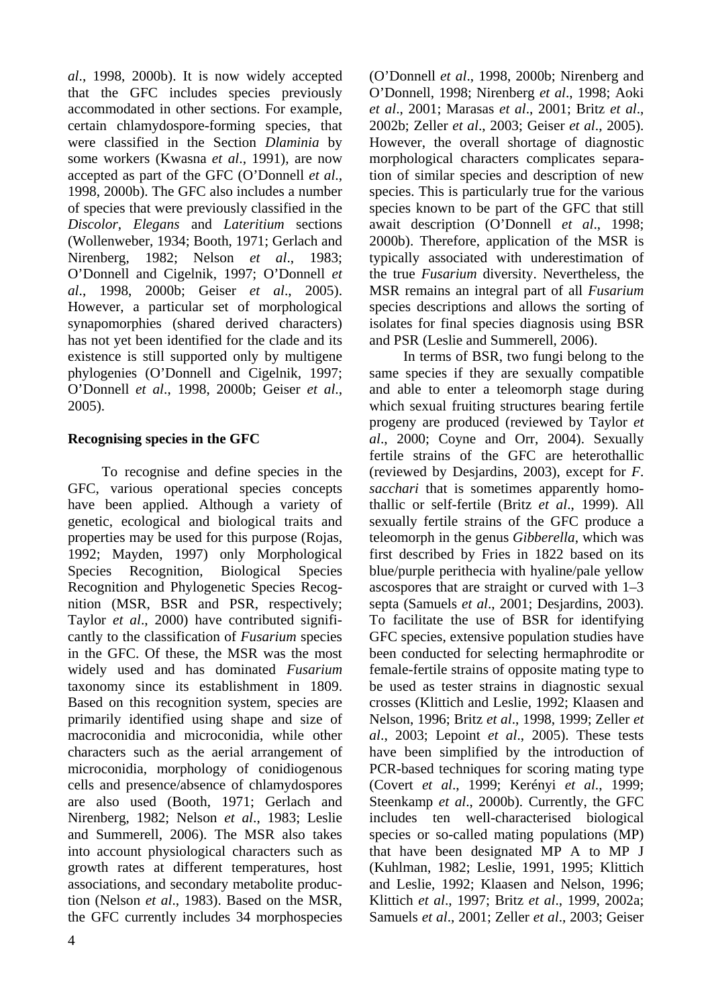*al*., 1998, 2000b). It is now widely accepted that the GFC includes species previously accommodated in other sections. For example, certain chlamydospore-forming species, that were classified in the Section *Dlaminia* by some workers (Kwasna *et al*., 1991), are now accepted as part of the GFC (O'Donnell *et al*., 1998, 2000b). The GFC also includes a number of species that were previously classified in the *Discolor*, *Elegans* and *Lateritium* sections (Wollenweber, 1934; Booth, 1971; Gerlach and Nirenberg, 1982; Nelson *et al*., 1983; O'Donnell and Cigelnik, 1997; O'Donnell *et al*., 1998, 2000b; Geiser *et al*., 2005). However, a particular set of morphological synapomorphies (shared derived characters) has not yet been identified for the clade and its existence is still supported only by multigene phylogenies (O'Donnell and Cigelnik, 1997; O'Donnell *et al*., 1998, 2000b; Geiser *et al*., 2005).

# **Recognising species in the GFC**

To recognise and define species in the GFC, various operational species concepts have been applied. Although a variety of genetic, ecological and biological traits and properties may be used for this purpose (Rojas, 1992; Mayden, 1997) only Morphological Species Recognition, Biological Species Recognition and Phylogenetic Species Recognition (MSR, BSR and PSR, respectively; Taylor *et al*., 2000) have contributed significantly to the classification of *Fusarium* species in the GFC. Of these, the MSR was the most widely used and has dominated *Fusarium* taxonomy since its establishment in 1809. Based on this recognition system, species are primarily identified using shape and size of macroconidia and microconidia, while other characters such as the aerial arrangement of microconidia, morphology of conidiogenous cells and presence/absence of chlamydospores are also used (Booth, 1971; Gerlach and Nirenberg, 1982; Nelson *et al*., 1983; Leslie and Summerell, 2006). The MSR also takes into account physiological characters such as growth rates at different temperatures, host associations, and secondary metabolite production (Nelson *et al*., 1983). Based on the MSR, the GFC currently includes 34 morphospecies

(O'Donnell *et al*., 1998, 2000b; Nirenberg and O'Donnell, 1998; Nirenberg *et al*., 1998; Aoki *et al*., 2001; Marasas *et al*., 2001; Britz *et al*., 2002b; Zeller *et al*., 2003; Geiser *et al*., 2005). However, the overall shortage of diagnostic morphological characters complicates separation of similar species and description of new species. This is particularly true for the various species known to be part of the GFC that still await description (O'Donnell *et al*., 1998; 2000b). Therefore, application of the MSR is typically associated with underestimation of the true *Fusarium* diversity. Nevertheless, the MSR remains an integral part of all *Fusarium* species descriptions and allows the sorting of isolates for final species diagnosis using BSR and PSR (Leslie and Summerell, 2006).

In terms of BSR, two fungi belong to the same species if they are sexually compatible and able to enter a teleomorph stage during which sexual fruiting structures bearing fertile progeny are produced (reviewed by Taylor *et al*., 2000; Coyne and Orr, 2004). Sexually fertile strains of the GFC are heterothallic (reviewed by Desjardins, 2003), except for *F*. *sacchari* that is sometimes apparently homothallic or self-fertile (Britz *et al*., 1999). All sexually fertile strains of the GFC produce a teleomorph in the genus *Gibberella*, which was first described by Fries in 1822 based on its blue/purple perithecia with hyaline/pale yellow ascospores that are straight or curved with 1–3 septa (Samuels *et al*., 2001; Desjardins, 2003). To facilitate the use of BSR for identifying GFC species, extensive population studies have been conducted for selecting hermaphrodite or female-fertile strains of opposite mating type to be used as tester strains in diagnostic sexual crosses (Klittich and Leslie, 1992; Klaasen and Nelson, 1996; Britz *et al*., 1998, 1999; Zeller *et al*., 2003; Lepoint *et al*., 2005). These tests have been simplified by the introduction of PCR-based techniques for scoring mating type (Covert *et al*., 1999; Kerényi *et al*., 1999; Steenkamp *et al*., 2000b). Currently, the GFC includes ten well-characterised biological species or so-called mating populations (MP) that have been designated MP A to MP J (Kuhlman, 1982; Leslie, 1991, 1995; Klittich and Leslie, 1992; Klaasen and Nelson, 1996; Klittich *et al*., 1997; Britz *et al*., 1999, 2002a; Samuels *et al*., 2001; Zeller *et al*., 2003; Geiser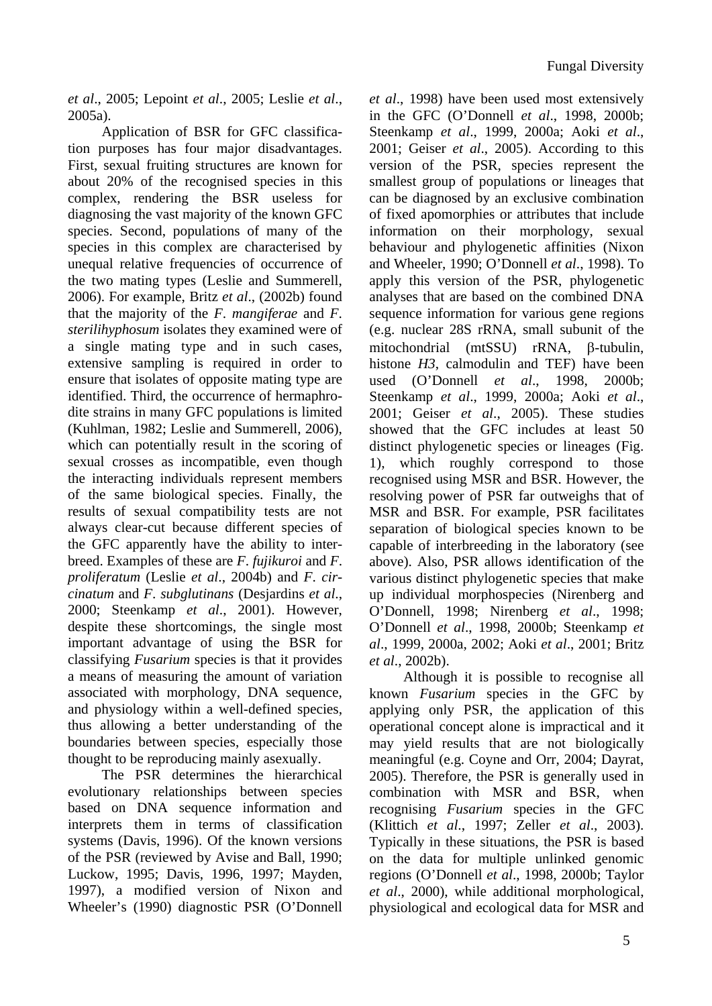*et al*., 2005; Lepoint *et al*., 2005; Leslie *et al*., 2005a).

Application of BSR for GFC classification purposes has four major disadvantages. First, sexual fruiting structures are known for about 20% of the recognised species in this complex, rendering the BSR useless for diagnosing the vast majority of the known GFC species. Second, populations of many of the species in this complex are characterised by unequal relative frequencies of occurrence of the two mating types (Leslie and Summerell, 2006). For example, Britz *et al*., (2002b) found that the majority of the *F*. *mangiferae* and *F*. *sterilihyphosum* isolates they examined were of a single mating type and in such cases, extensive sampling is required in order to ensure that isolates of opposite mating type are identified. Third, the occurrence of hermaphrodite strains in many GFC populations is limited (Kuhlman, 1982; Leslie and Summerell, 2006), which can potentially result in the scoring of sexual crosses as incompatible, even though the interacting individuals represent members of the same biological species. Finally, the results of sexual compatibility tests are not always clear-cut because different species of the GFC apparently have the ability to interbreed. Examples of these are *F*. *fujikuroi* and *F*. *proliferatum* (Leslie *et al*., 2004b) and *F*. *circinatum* and *F*. *subglutinans* (Desjardins *et al*., 2000; Steenkamp *et al*., 2001). However, despite these shortcomings, the single most important advantage of using the BSR for classifying *Fusarium* species is that it provides a means of measuring the amount of variation associated with morphology, DNA sequence, and physiology within a well-defined species, thus allowing a better understanding of the boundaries between species, especially those thought to be reproducing mainly asexually.

The PSR determines the hierarchical evolutionary relationships between species based on DNA sequence information and interprets them in terms of classification systems (Davis, 1996). Of the known versions of the PSR (reviewed by Avise and Ball, 1990; Luckow, 1995; Davis, 1996, 1997; Mayden, 1997), a modified version of Nixon and Wheeler's (1990) diagnostic PSR (O'Donnell *et al*., 1998) have been used most extensively in the GFC (O'Donnell *et al*., 1998, 2000b; Steenkamp *et al*., 1999, 2000a; Aoki *et al*., 2001; Geiser *et al*., 2005). According to this version of the PSR, species represent the smallest group of populations or lineages that can be diagnosed by an exclusive combination of fixed apomorphies or attributes that include information on their morphology, sexual behaviour and phylogenetic affinities (Nixon and Wheeler, 1990; O'Donnell *et al*., 1998). To apply this version of the PSR, phylogenetic analyses that are based on the combined DNA sequence information for various gene regions (e.g. nuclear 28S rRNA, small subunit of the mitochondrial (mtSSU) rRNA, β-tubulin, histone *H3*, calmodulin and TEF) have been used (O'Donnell *et al*., 1998, 2000b; Steenkamp *et al*., 1999, 2000a; Aoki *et al*., 2001; Geiser *et al*., 2005). These studies showed that the GFC includes at least 50 distinct phylogenetic species or lineages (Fig. 1), which roughly correspond to those recognised using MSR and BSR. However, the resolving power of PSR far outweighs that of MSR and BSR. For example, PSR facilitates separation of biological species known to be capable of interbreeding in the laboratory (see above). Also, PSR allows identification of the various distinct phylogenetic species that make up individual morphospecies (Nirenberg and O'Donnell, 1998; Nirenberg *et al*., 1998; O'Donnell *et al*., 1998, 2000b; Steenkamp *et al*., 1999, 2000a, 2002; Aoki *et al*., 2001; Britz *et al*., 2002b).

Although it is possible to recognise all known *Fusarium* species in the GFC by applying only PSR, the application of this operational concept alone is impractical and it may yield results that are not biologically meaningful (e.g. Coyne and Orr, 2004; Dayrat, 2005). Therefore, the PSR is generally used in combination with MSR and BSR, when recognising *Fusarium* species in the GFC (Klittich *et al*., 1997; Zeller *et al*., 2003). Typically in these situations, the PSR is based on the data for multiple unlinked genomic regions (O'Donnell *et al*., 1998, 2000b; Taylor *et al*., 2000), while additional morphological, physiological and ecological data for MSR and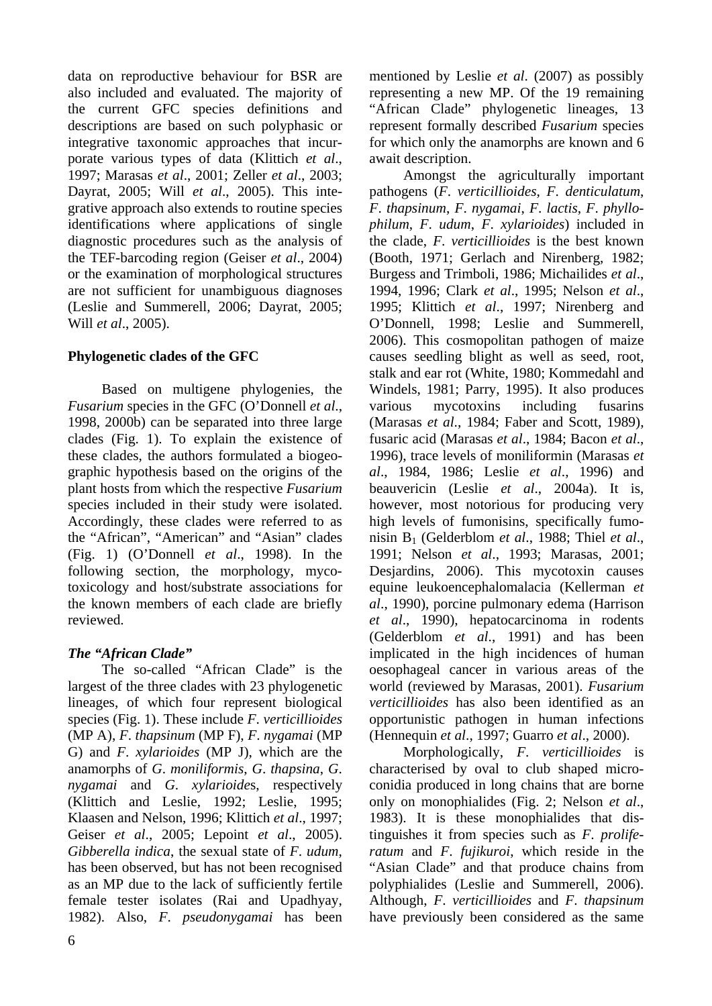data on reproductive behaviour for BSR are also included and evaluated. The majority of the current GFC species definitions and descriptions are based on such polyphasic or integrative taxonomic approaches that incurporate various types of data (Klittich *et al*., 1997; Marasas *et al*., 2001; Zeller *et al*., 2003; Dayrat, 2005; Will *et al*., 2005). This integrative approach also extends to routine species identifications where applications of single diagnostic procedures such as the analysis of the TEF-barcoding region (Geiser *et al*., 2004) or the examination of morphological structures are not sufficient for unambiguous diagnoses (Leslie and Summerell, 2006; Dayrat, 2005; Will *et al*., 2005).

# **Phylogenetic clades of the GFC**

Based on multigene phylogenies, the *Fusarium* species in the GFC (O'Donnell *et al*., 1998, 2000b) can be separated into three large clades (Fig. 1). To explain the existence of these clades, the authors formulated a biogeographic hypothesis based on the origins of the plant hosts from which the respective *Fusarium* species included in their study were isolated. Accordingly, these clades were referred to as the "African", "American" and "Asian" clades (Fig. 1) (O'Donnell *et al*., 1998). In the following section, the morphology, mycotoxicology and host/substrate associations for the known members of each clade are briefly reviewed.

# *The "African Clade"*

The so-called "African Clade" is the largest of the three clades with 23 phylogenetic lineages, of which four represent biological species (Fig. 1). These include *F*. *verticillioides*  (MP A), *F*. *thapsinum* (MP F), *F*. *nygamai* (MP G) and *F*. *xylarioides* (MP J), which are the anamorphs of *G*. *moniliformis*, *G*. *thapsina*, *G*. *nygamai* and *G*. *xylarioide*s, respectively (Klittich and Leslie, 1992; Leslie, 1995; Klaasen and Nelson, 1996; Klittich *et al*., 1997; Geiser *et al*., 2005; Lepoint *et al*., 2005). *Gibberella indica*, the sexual state of *F*. *udum*, has been observed, but has not been recognised as an MP due to the lack of sufficiently fertile female tester isolates (Rai and Upadhyay, 1982). Also, *F*. *pseudonygamai* has been mentioned by Leslie *et al*. (2007) as possibly representing a new MP. Of the 19 remaining "African Clade" phylogenetic lineages, 13 represent formally described *Fusarium* species for which only the anamorphs are known and 6 await description.

Amongst the agriculturally important pathogens (*F*. *verticillioides*, *F*. *denticulatum*, *F*. *thapsinum*, *F*. *nygamai*, *F*. *lactis*, *F*. *phyllophilum*, *F*. *udum*, *F*. *xylarioides*) included in the clade, *F*. *verticillioides* is the best known (Booth, 1971; Gerlach and Nirenberg, 1982; Burgess and Trimboli, 1986; Michailides *et al*., 1994, 1996; Clark *et al*., 1995; Nelson *et al*., 1995; Klittich *et al*., 1997; Nirenberg and O'Donnell, 1998; Leslie and Summerell, 2006). This cosmopolitan pathogen of maize causes seedling blight as well as seed, root, stalk and ear rot (White, 1980; Kommedahl and Windels, 1981; Parry, 1995). It also produces various mycotoxins including fusarins (Marasas *et al*., 1984; Faber and Scott, 1989), fusaric acid (Marasas *et al*., 1984; Bacon *et al*., 1996), trace levels of moniliformin (Marasas *et al*., 1984, 1986; Leslie *et al*., 1996) and beauvericin (Leslie *et al*., 2004a). It is, however, most notorious for producing very high levels of fumonisins, specifically fumonisin B1 (Gelderblom *et al*., 1988; Thiel *et al*., 1991; Nelson *et al*., 1993; Marasas, 2001; Desjardins, 2006). This mycotoxin causes equine leukoencephalomalacia (Kellerman *et al*., 1990), porcine pulmonary edema (Harrison *et al*., 1990), hepatocarcinoma in rodents (Gelderblom *et al*., 1991) and has been implicated in the high incidences of human oesophageal cancer in various areas of the world (reviewed by Marasas, 2001). *Fusarium verticillioides* has also been identified as an opportunistic pathogen in human infections (Hennequin *et al*., 1997; Guarro *et al*., 2000).

Morphologically, *F*. *verticillioides* is characterised by oval to club shaped microconidia produced in long chains that are borne only on monophialides (Fig. 2; Nelson *et al*., 1983). It is these monophialides that distinguishes it from species such as *F*. *proliferatum* and *F*. *fujikuroi*, which reside in the "Asian Clade" and that produce chains from polyphialides (Leslie and Summerell, 2006). Although, *F*. *verticillioides* and *F*. *thapsinum*  have previously been considered as the same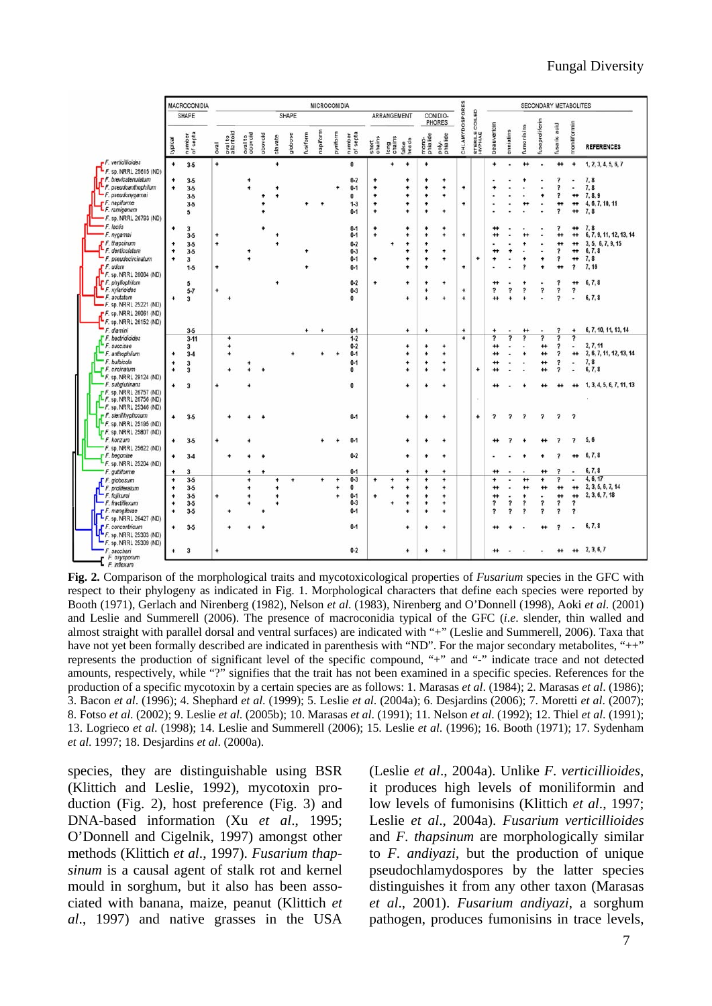|                                                                                                                                                                | MACROCONIDIA                                     |                                                          |                        | <b>MICROCONIDIA</b>         |                    |         |           |           |          |          |          |                                                     |                                            |                | SECONDARY METABOLITES                                 |                                       |                                          |                             |                     |                                                      |                          |                              |                                                               |                                                                                                    |                                                        |                                                                        |
|----------------------------------------------------------------------------------------------------------------------------------------------------------------|--------------------------------------------------|----------------------------------------------------------|------------------------|-----------------------------|--------------------|---------|-----------|-----------|----------|----------|----------|-----------------------------------------------------|--------------------------------------------|----------------|-------------------------------------------------------|---------------------------------------|------------------------------------------|-----------------------------|---------------------|------------------------------------------------------|--------------------------|------------------------------|---------------------------------------------------------------|----------------------------------------------------------------------------------------------------|--------------------------------------------------------|------------------------------------------------------------------------|
|                                                                                                                                                                | SHAPE                                            |                                                          |                        | <b>SHAPE</b><br>ARRANGEMENT |                    |         |           |           |          |          |          |                                                     | <b>SPORES</b><br>CONIDIO-<br><b>PHORES</b> |                |                                                       | e<br>COILE                            |                                          |                             |                     |                                                      |                          |                              |                                                               |                                                                                                    |                                                        |                                                                        |
|                                                                                                                                                                | typical                                          | number<br>of septa                                       | levo                   | oval to<br>allantoid        | oval to<br>obovoid | piovodo | clavate   | globose   | fusiform | napiform | pyriform | number<br>of septa                                  | short                                      | long<br>chains | false<br>heads                                        | mono-<br>phialide                     | poly-<br>phialide                        | CHLAMYDO                    | STERILE <sup></sup> | beauvericin                                          | enniatins                | fumonisins                   | fusaproliferin                                                | acid<br>fusaric                                                                                    | moniifformin                                           | <b>REFERENCES</b>                                                      |
| F. verticillioides                                                                                                                                             | $\ddot{}$                                        | $3-5$                                                    | ٠                      |                             |                    |         | $\ddot{}$ |           |          |          |          | $\bf{0}$                                            |                                            | ٠              | $\ddot{}$                                             | ۰                                     |                                          |                             |                     | ۰                                                    | ٠                        | $^{+}$                       |                                                               | $^{+}$                                                                                             | $\ddot{}$                                              | 1, 2, 3, 4, 5, 6, 7                                                    |
| $-F.$ sp. NRRL 25615 (ND)<br>F.F. brevicatenulatum<br>F. pseudoanthophilum<br>- F. pseudonygamai<br>F.F. napiforme<br>F. ramigenum<br>- F. sp. NRRL 26793 (ND) | $\ddot{}$<br>$\ddot{}$                           | $3-5$<br>$3-5$<br>$3-5$<br>$3-5$<br>5                    |                        |                             |                    |         |           |           |          |          |          | $0 - 2$<br>$0 - 1$<br>$\bf{0}$<br>$1-3$<br>$0 - 1$  | ٠<br>۰<br>٠<br>٠<br>٠                      |                | ٠<br>$\ddot{}$<br>$\ddot{}$<br>$\ddot{}$<br>$\ddot{}$ | ٠<br>$\ddot{}$<br>۰<br>۰<br>$\ddot{}$ | ٠<br>۰<br>٠<br>٠                         | $\ddot{}$<br>۰              |                     |                                                      |                          |                              |                                                               | $\overline{\phantom{a}}$<br>7<br>,                                                                 | $^{\tiny{+}}$<br>$^{\tiny{+}}$<br>$_{\rm +}$           | 7, 8<br>7.8<br>7, 8, 9<br>4, 6, 7, 10, 11<br>7, 8                      |
| - F. lactis<br>- F. nygamai<br>$F$ F. thapsinum<br>F. denticulatum<br>F. pseudocircinatum                                                                      | ۰<br>۰<br>$\ddot{}$<br>۰                         | 3<br>$3-5$<br>$3-5$<br>$3-5$<br>3                        | $\ddot{}$<br>$\ddot{}$ |                             |                    |         |           |           |          |          |          | $0 - 1$<br>$0 - 1$<br>$0 - 2$<br>$0 - 3$<br>$0 - 1$ | ۰<br>$\ddot{}$<br>۰                        |                | ۰<br>$\ddot{}$<br>۰<br>$\ddot{}$<br>$\ddot{}$         | ۰<br>٠<br>÷<br>$\ddot{}$<br>$\ddot{}$ | ۰<br>۰<br>$\ddot{}$<br>۰                 | $\ddot{}$                   | $\ddot{}$           | $^{++}$<br>$^{++}$<br>۰                              |                          | ٠                            | ٠                                                             | 7<br>$_{\tiny \textbf{+}}$<br>$^{\tiny{+}}$<br>$\overline{\phantom{a}}$<br>$\overline{\mathbf{r}}$ | $^{\tiny{+}}$<br>$^{+}$<br>$^{\tiny{+}}$<br>$_{\rm +}$ | 7.8<br>6, 7, 9, 11, 12, 13, 14<br>3, 5, 6, 7, 9, 15<br>6, 7, 8<br>7, 8 |
| $F$ F. udum<br>"F. sp. NRRL 26064 (ND)<br>F.F. phyllophilum<br>- F. xylarioides<br>- F. acutatum<br>F. sp. NRRL 25221 (ND)<br>$F$ F. sp. NRRL 26061 (ND)       | +                                                | $1-5$<br>5<br>$5 - 7$<br>$\overline{3}$                  | $\ddot{}$<br>۰         |                             |                    |         |           |           |          |          |          | $0-1$<br>$0 - 2$<br>$0 - 3$<br>$\mathbf{0}$         | $\ddot{}$                                  |                | ۰<br>$\ddot{}$<br>$\ddot{}$                           | $\ddot{}$<br>$\ddot{}$<br>۰<br>۰      | $\ddot{}$                                | $\ddot{}$<br>$\ddot{}$<br>۰ |                     | $^{\tiny{++}}$<br>$\overline{\mathbf{?}}$<br>$^{++}$ | s.<br>٠                  | 2<br>۰<br>?                  | $\overline{\mathbf{?}}$                                       | 7<br>?<br>$\overline{\mathbf{r}}$                                                                  | 2<br>$^{+}$<br>?<br>ä,                                 | 7, 16<br>6, 7, 8<br>6, 7, 8                                            |
| F. sp. NRRL 26152 (ND)<br>F. dlamini                                                                                                                           |                                                  | $3-5$                                                    |                        |                             |                    |         |           |           | ۰        | ۰        |          | $0 - 1$                                             |                                            |                | $\ddot{}$                                             | ٠                                     |                                          | ۰                           |                     |                                                      |                          | $_{+}$                       |                                                               | $\overline{\mathbf{z}}$                                                                            | ۰                                                      | 6, 7, 10, 11, 13, 14                                                   |
| F. bactridioides<br>F. succisae<br>F. anthophilum<br>F. bulbicola<br>F. F. circinatum                                                                          | ۰<br>٠<br>$\ddot{}$                              | $3 - 11$<br>3<br>$3 - 4$<br>$\overline{\mathbf{3}}$<br>3 |                        | ۰                           |                    |         |           |           |          |          |          | $1-2$<br>$0 - 2$<br>$0-1$<br>$0 - 1$<br>$\bf{0}$    |                                            |                | $\ddot{}$<br>$\ddot{}$<br>$\ddot{}$<br>$\ddot{}$      | ۰<br>$\ddot{}$<br>÷<br>4              | ۰<br>$\ddot{}$<br>$\ddot{}$<br>$\ddot{}$ | ٠                           | $\ddot{}$           | $\overline{\phantom{a}}$<br>$^{++}$<br>++<br>$^{+}$  | 7                        | $\overline{\phantom{a}}$     | $\overline{\mathbf{z}}$<br>$_{\rm +}$<br>$^{+}$<br>$_{\rm +}$ | 7<br>2<br>,<br>$\overline{\phantom{a}}$<br>$\overline{\phantom{a}}$                                | 2<br>++<br>×<br>٠                                      | 2, 7, 11<br>2, 6, 7, 11, 12, 13, 14<br>7, 8<br>6, 7, 8                 |
| F. sp. NRRL 29124 (ND)<br>F. subglutinans<br>F. sp. NRRL 26757 (ND)<br>F. sp. NRRL 26756 (ND)                                                                  | ۰                                                | 3                                                        | ۰                      |                             |                    |         |           |           |          |          |          | 0                                                   |                                            |                | $\ddot{}$                                             | ۰                                     | ٠                                        |                             | $\sim$              |                                                      |                          |                              |                                                               |                                                                                                    | ++                                                     | 1, 3, 4, 5, 6, 7, 11, 13                                               |
| -F. sp. NRRL 25346 (ND)<br>F. sterilihyphosum<br>-F. sp. NRRL 25195 (ND)<br>F.F. sp. NRRL 25807 (ND)                                                           | $\ddot{}$                                        | $3-5$                                                    |                        |                             |                    |         |           |           |          |          |          | $0 - 1$                                             |                                            |                | $\ddot{}$                                             | ٠                                     | $\ddot{}$                                |                             | ۰                   | $\overline{\mathbf{r}}$                              | $\overline{\phantom{a}}$ | $\overline{\mathbf{?}}$      | $\overline{\mathbf{r}}$                                       | $\overline{\mathbf{r}}$                                                                            | $\overline{\mathbf{z}}$                                |                                                                        |
| - F. konzum<br>F. sp. NRRL 25622 (ND)                                                                                                                          | $\ddot{}$                                        | $3-5$                                                    | $\ddotmark$            |                             |                    |         |           |           |          |          |          | $0 - 1$                                             |                                            |                | $\ddot{}$                                             | ۰                                     | ٠                                        |                             |                     |                                                      |                          |                              |                                                               |                                                                                                    | 7                                                      | 5, 6                                                                   |
| F.F. begoniae<br>F. sp. NRRL 25204 (ND)                                                                                                                        | $\ddot{}$                                        | $3 - 4$                                                  |                        |                             |                    |         |           |           |          |          |          | $0 - 2$                                             |                                            |                | $\ddot{}$                                             | ٠                                     | ۰                                        |                             |                     |                                                      |                          |                              |                                                               |                                                                                                    |                                                        | 6, 7, 8                                                                |
| F. guttiforme                                                                                                                                                  | $\ddot{}$                                        | 3                                                        |                        |                             |                    |         | ٠         |           |          |          | ٠        | $0 - 1$<br>$0 - 3$                                  | ٠                                          | ٠              | ۰<br>$\ddot{}$                                        | $\ddot{}$                             | ۰<br>÷                                   |                             |                     | $^{+}$<br>٠                                          |                          |                              | $_{+}$<br>٠                                                   | ,<br>,                                                                                             | ÷                                                      | 6, 7, 8<br>4, 6, 17                                                    |
| F. globosum<br>F. proliferatum<br>F. fujikuroi<br>- F. fractiflexum                                                                                            | $\ddot{}$<br>$\ddot{}$<br>$\ddot{}$<br>$\ddot{}$ | $3-5$<br>$3-5$<br>$3-5$<br>$3-5$                         | $\ddot{}$              |                             | ٠<br>٠             |         | $\ddot{}$ | $\ddot{}$ |          | ÷        | ٠        | $\mathbf{0}$<br>$0 - 1$<br>$0 - 3$                  | ۰                                          | $\ddot{}$      | $\ddot{}$<br>٠<br>٠                                   | ۰<br>$\ddot{}$<br>$\ddot{}$<br>٠      | $\ddot{}$<br>٠<br>۰                      |                             |                     | $^{+}$<br>$^{+}$<br>$\overline{\mathbf{r}}$          | ?                        | $^{+}$<br>$^{\tiny{+}}$<br>? | $\overline{\mathbf{r}}$                                       | $^{\tiny{+}}$<br>$+$<br>$\overline{\mathbf{r}}$                                                    | ++<br>$_{\rm +}$<br>$\overline{\mathbf{r}}$            | 2, 3, 5, 6, 7, 14<br>2, 3, 6, 7, 18                                    |
| F.F. mangiferae<br>$-F.$ sp. NRRL 26427 (ND)                                                                                                                   | $\ddot{}$                                        | $3-5$                                                    |                        |                             |                    |         |           |           |          |          |          | $0 - 1$                                             |                                            |                | ٠                                                     | $\ddot{}$                             | ٠                                        |                             |                     | $\overline{\phantom{a}}$                             | 2                        | $\overline{\phantom{a}}$     | 2                                                             | $\overline{\phantom{a}}$                                                                           | $\overline{\mathbf{z}}$                                |                                                                        |
| F. concentricum<br>F. sp. NRRL 25303 (ND)<br>"F. sp. NRRL 25309 (ND)                                                                                           | $\ddot{}$                                        | $3-5$                                                    |                        |                             |                    |         |           |           |          |          |          | $0 - 1$                                             |                                            |                | $\ddot{}$                                             | ٠                                     | ۰                                        |                             |                     |                                                      |                          |                              |                                                               |                                                                                                    |                                                        | 6, 7, 8                                                                |
| F. sacchari<br>F. F. oxysporum                                                                                                                                 | $\ddot{}$                                        | 3                                                        | $\ddot{}$              |                             |                    |         |           |           |          |          |          | $0 - 2$                                             |                                            |                | $\ddot{}$                                             | ۰                                     | $\ddot{}$                                |                             |                     | $^{+}$                                               |                          |                              |                                                               | $^{+}$                                                                                             |                                                        | $+2, 3, 6, 7$                                                          |

**Fig. 2.** Comparison of the morphological traits and mycotoxicological properties of *Fusarium* species in the GFC with respect to their phylogeny as indicated in Fig. 1. Morphological characters that define each species were reported by Booth (1971), Gerlach and Nirenberg (1982), Nelson *et al*. (1983), Nirenberg and O'Donnell (1998), Aoki *et al*. (2001) and Leslie and Summerell (2006). The presence of macroconidia typical of the GFC (*i*.*e*. slender, thin walled and almost straight with parallel dorsal and ventral surfaces) are indicated with "+" (Leslie and Summerell, 2006). Taxa that have not yet been formally described are indicated in parenthesis with "ND". For the major secondary metabolites, "++" represents the production of significant level of the specific compound, "+" and "-" indicate trace and not detected amounts, respectively, while "?" signifies that the trait has not been examined in a specific species. References for the production of a specific mycotoxin by a certain species are as follows: 1. Marasas *et al*. (1984); 2. Marasas *et al*. (1986); 3. Bacon *et al*. (1996); 4. Shephard *et al*. (1999); 5. Leslie *et al*. (2004a); 6. Desjardins (2006); 7. Moretti *et al*. (2007); 8. Fotso *et al*. (2002); 9. Leslie *et al*. (2005b); 10. Marasas *et al*. (1991); 11. Nelson *et al*. (1992); 12. Thiel *et al*. (1991); 13. Logrieco *et al*. (1998); 14. Leslie and Summerell (2006); 15. Leslie *et al*. (1996); 16. Booth (1971); 17. Sydenham *et al*. 1997; 18. Desjardins *et al*. (2000a).

species, they are distinguishable using BSR (Klittich and Leslie, 1992), mycotoxin production (Fig. 2), host preference (Fig. 3) and DNA-based information (Xu *et al*., 1995; O'Donnell and Cigelnik, 1997) amongst other methods (Klittich *et al*., 1997). *Fusarium thapsinum* is a causal agent of stalk rot and kernel mould in sorghum, but it also has been associated with banana, maize, peanut (Klittich *et al*., 1997) and native grasses in the USA

(Leslie *et al*., 2004a). Unlike *F*. *verticillioides*, it produces high levels of moniliformin and low levels of fumonisins (Klittich *et al*., 1997; Leslie *et al*., 2004a). *Fusarium verticillioides*  and *F*. *thapsinum* are morphologically similar to *F*. *andiyazi*, but the production of unique pseudochlamydospores by the latter species distinguishes it from any other taxon (Marasas *et al*., 2001). *Fusarium andiyazi*, a sorghum pathogen, produces fumonisins in trace levels,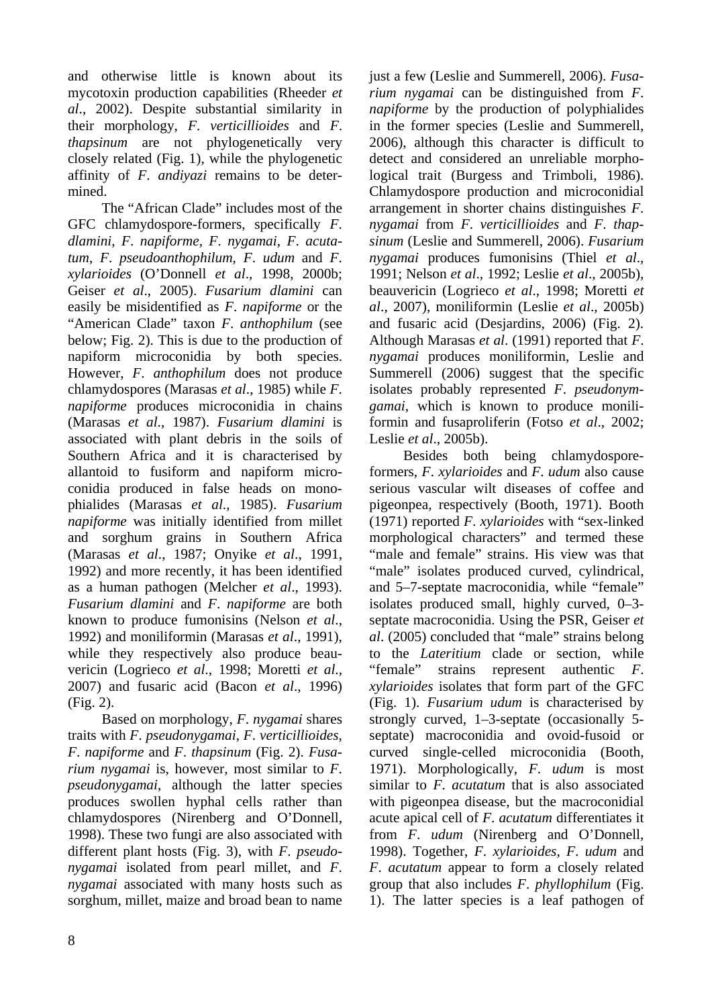and otherwise little is known about its mycotoxin production capabilities (Rheeder *et al*., 2002). Despite substantial similarity in their morphology, *F*. *verticillioides* and *F*. *thapsinum* are not phylogenetically very closely related (Fig. 1), while the phylogenetic affinity of *F*. *andiyazi* remains to be determined.

The "African Clade" includes most of the GFC chlamydospore-formers, specifically *F*. *dlamini*, *F*. *napiforme*, *F*. *nygamai*, *F*. *acutatum*, *F*. *pseudoanthophilum*, *F*. *udum* and *F*. *xylarioides* (O'Donnell *et al*., 1998, 2000b; Geiser *et al*., 2005). *Fusarium dlamini* can easily be misidentified as *F*. *napiforme* or the "American Clade" taxon *F*. *anthophilum* (see below; Fig. 2). This is due to the production of napiform microconidia by both species. However, *F*. *anthophilum* does not produce chlamydospores (Marasas *et al*., 1985) while *F*. *napiforme* produces microconidia in chains (Marasas *et al*., 1987). *Fusarium dlamini* is associated with plant debris in the soils of Southern Africa and it is characterised by allantoid to fusiform and napiform microconidia produced in false heads on monophialides (Marasas *et al*., 1985). *Fusarium napiforme* was initially identified from millet and sorghum grains in Southern Africa (Marasas *et al*., 1987; Onyike *et al*., 1991, 1992) and more recently, it has been identified as a human pathogen (Melcher *et al*., 1993). *Fusarium dlamini* and *F*. *napiforme* are both known to produce fumonisins (Nelson *et al*., 1992) and moniliformin (Marasas *et al*., 1991), while they respectively also produce beauvericin (Logrieco *et al*., 1998; Moretti *et al*., 2007) and fusaric acid (Bacon *et al*., 1996) (Fig. 2).

Based on morphology, *F*. *nygamai* shares traits with *F*. *pseudonygamai*, *F*. *verticillioides*, *F*. *napiforme* and *F*. *thapsinum* (Fig. 2). *Fusarium nygamai* is, however, most similar to *F*. *pseudonygamai*, although the latter species produces swollen hyphal cells rather than chlamydospores (Nirenberg and O'Donnell, 1998). These two fungi are also associated with different plant hosts (Fig. 3), with *F*. *pseudonygamai* isolated from pearl millet, and *F*. *nygamai* associated with many hosts such as sorghum, millet, maize and broad bean to name just a few (Leslie and Summerell, 2006). *Fusarium nygamai* can be distinguished from *F*. *napiforme* by the production of polyphialides in the former species (Leslie and Summerell, 2006), although this character is difficult to detect and considered an unreliable morphological trait (Burgess and Trimboli, 1986). Chlamydospore production and microconidial arrangement in shorter chains distinguishes *F*. *nygamai* from *F*. *verticillioides* and *F*. *thapsinum* (Leslie and Summerell, 2006). *Fusarium nygamai* produces fumonisins (Thiel *et al*., 1991; Nelson *et al*., 1992; Leslie *et al*., 2005b), beauvericin (Logrieco *et al*., 1998; Moretti *et al*., 2007), moniliformin (Leslie *et al*., 2005b) and fusaric acid (Desjardins, 2006) (Fig. 2). Although Marasas *et al*. (1991) reported that *F*. *nygamai* produces moniliformin, Leslie and Summerell (2006) suggest that the specific isolates probably represented *F*. *pseudonymgamai*, which is known to produce moniliformin and fusaproliferin (Fotso *et al*., 2002; Leslie *et al*., 2005b).

Besides both being chlamydosporeformers, *F*. *xylarioides* and *F*. *udum* also cause serious vascular wilt diseases of coffee and pigeonpea, respectively (Booth, 1971). Booth (1971) reported *F*. *xylarioides* with "sex-linked morphological characters" and termed these "male and female" strains. His view was that "male" isolates produced curved, cylindrical, and 5–7-septate macroconidia, while "female" isolates produced small, highly curved, 0–3 septate macroconidia. Using the PSR, Geiser *et al*. (2005) concluded that "male" strains belong to the *Lateritium* clade or section, while "female" strains represent authentic *F*. *xylarioides* isolates that form part of the GFC (Fig. 1). *Fusarium udum* is characterised by strongly curved, 1–3-septate (occasionally 5 septate) macroconidia and ovoid-fusoid or curved single-celled microconidia (Booth, 1971). Morphologically, *F*. *udum* is most similar to *F*. *acutatum* that is also associated with pigeonpea disease, but the macroconidial acute apical cell of *F*. *acutatum* differentiates it from *F*. *udum* (Nirenberg and O'Donnell, 1998). Together, *F*. *xylarioides*, *F*. *udum* and *F*. *acutatum* appear to form a closely related group that also includes *F*. *phyllophilum* (Fig. 1). The latter species is a leaf pathogen of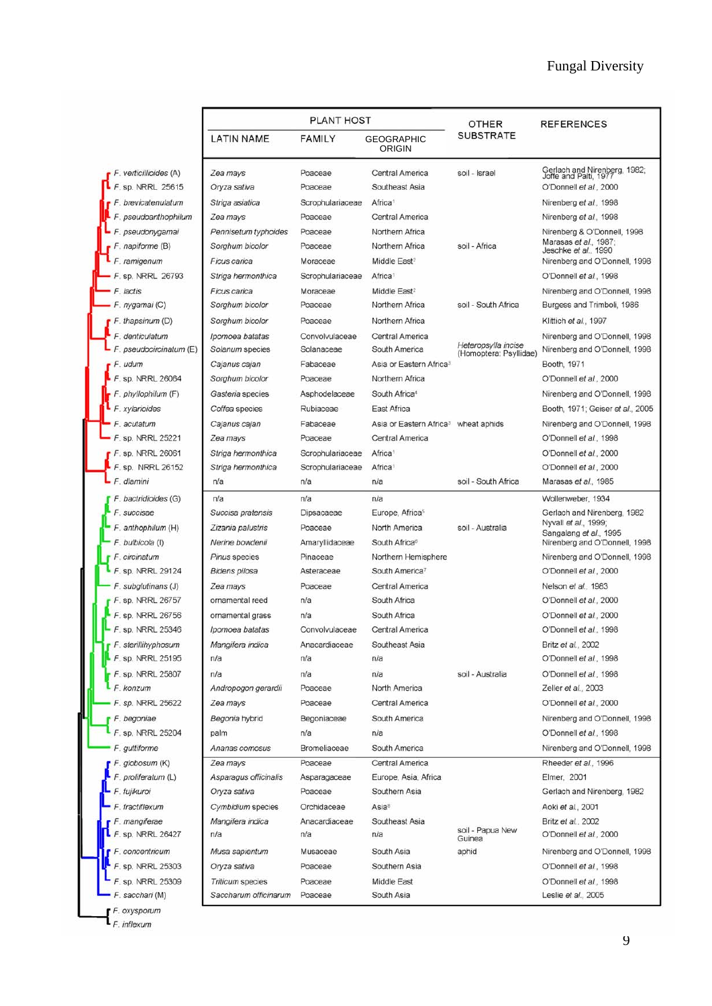|                                          |                             | <b>PLANT HOST</b> | <b>OTHER</b>                                     | <b>REFERENCES</b>                             |                                                       |  |
|------------------------------------------|-----------------------------|-------------------|--------------------------------------------------|-----------------------------------------------|-------------------------------------------------------|--|
|                                          | <b>LATIN NAME</b>           | SUBSTRATE         |                                                  |                                               |                                                       |  |
| F. verticillioides (A)                   | Zea mays                    | Poaceae           | <b>Central America</b>                           | soil - Israel                                 | Gerlach and Nirenberg, 1982;<br>Joffe and Palti, 1977 |  |
| F. sp. NRRL 25615                        | Oryza sativa                | Poaceae           | Southeast Asia                                   |                                               | O'Donnell et al., 2000                                |  |
| F. brevicatenulatum                      | Striga asiatica             | Scrophulariaceae  | Africa <sup>1</sup>                              |                                               | Nirenberg et al., 1998                                |  |
| pseudoanthophilum<br>F                   | Zea mays                    | Poaceae           | Central America                                  |                                               | Nirenberg et al., 1998                                |  |
| pseudonygamai                            | Pennisetum typhoides        | Poaceae           | Northern Africa                                  |                                               | Nirenberg & O'Donnell, 1998                           |  |
| napiforme (B)                            | Sorghum bicolor             | Poaceae           | Northern Africa                                  | soil - Africa                                 | Marasas et al., 1987;<br>Jeschke et al., 1990         |  |
| F. ramigenum                             | Ficus carica                | Moraceae          | Middle East <sup>2</sup>                         |                                               | Nirenberg and O'Donnell, 1998                         |  |
| F. sp. NRRL 26793                        | Striga hermonthica          | Scrophulariaceae  | Africa <sup>1</sup>                              |                                               | O'Donnell et al., 1998                                |  |
| F. lactis                                | Ficus carica                | Moraceae          | Middle East <sup>2</sup>                         |                                               | Nirenberg and O'Donnell, 1998                         |  |
| F. nygamai (C)                           | Sorghum bicolor             | Poaceae           | Northern Africa                                  | soil - South Africa                           | Burgess and Trimboli, 1986                            |  |
| $F.$ thapsinum $(D)$                     | Sorghum bicolor             | Poaceae           | Northern Africa                                  |                                               | Klittich et al., 1997                                 |  |
| F. denticulatum                          | Ipomoea batatas             | Convolvulaceae    | Central America                                  |                                               | Nirenberg and O'Donnell, 1998                         |  |
| pseudocircinatum (E)<br>F.               | Solanum species             | Solanaceae        | South America                                    | Heteropsylla incise<br>(Homoptera: Psyllidae) | Nirenberg and O'Donnell, 1998                         |  |
| F. udum                                  | Cajanus cajan               | Fabaceae          | Asia or Eastern Africa <sup>3</sup>              |                                               | Booth, 1971                                           |  |
| F. sp. NRRL 26064                        | Sorghum bicolor             | Poaceae           | Northern Africa                                  |                                               | O'Donnell et al., 2000                                |  |
| F. phyllophilum (F)                      | Gasteria species            | Asphodelaceae     | South Africa <sup>4</sup>                        |                                               | Nirenberg and O'Donnell, 1998                         |  |
| F. xylarioides                           | Coffea species              | Rubiaceae         | East Africa                                      |                                               | Booth, 1971; Geiser et al., 2005                      |  |
| F. acutatum                              | Cajanus cajan               | Fabaceae          | Asia or Eastern Africa <sup>3</sup> wheat aphids |                                               | Nirenberg and O'Donnell, 1998                         |  |
| F. sp. NRRL 25221                        | Zea mays                    | Poaceae           | Central America                                  |                                               | O'Donnell et al., 1998                                |  |
| F. sp. NRRL 26061                        | Striga hermonthica          | Scrophulariaceae  | Africa <sup>1</sup>                              |                                               | O'Donnell et al., 2000                                |  |
| F. sp. NRRL 26152                        | Striga hermonthica          | Scrophulariaceae  | Africa <sup>®</sup>                              |                                               | O'Donnell et al., 2000                                |  |
| F. dlamini                               | n/a                         | n/a               | n/a                                              | soil - South Africa                           | Marasas et al., 1985                                  |  |
| F. bactridioides (G)                     | n/a                         | n/a               | n/a                                              |                                               | Wollenweber, 1934                                     |  |
| F. succisae                              | Succisa pratensis           | Dipsacaeae        | Europe, Africa <sup>5</sup>                      |                                               | Gerlach and Nirenberg, 1982<br>Nyvall et al., 1999;   |  |
| F. anthophilum (H)                       | Zizania palustris           | Poaceae           | North America                                    | soil - Australia                              | Sangalang et al., 1995                                |  |
| F. bulbicola (I)                         | Nerine bowdenii             | Amaryllidaceae    | South Africa <sup>6</sup>                        |                                               | Nirenberg and O'Donnell, 1998                         |  |
| F. circinatum                            | Pinus species               | Pinaceae          | Northern Hemisphere                              |                                               | Nirenberg and O'Donnell, 1998                         |  |
| F. sp. NRRL 29124                        | Bidens pilosa               | Asteraceae        | South America <sup>7</sup>                       |                                               | O'Donnell et al., 2000                                |  |
| F. subglutinans (J)<br>F. sp. NRRL 26757 | Zea mays<br>ornamental reed | Poaceae<br>n/a    | Central America<br>South Africa                  |                                               | Nelson et al., 1983<br>O'Donnell et al., 2000         |  |
| sp. NRRL 26756                           | ornamental grass            | n/a               | South Africa                                     |                                               | O'Donnell et al., 2000                                |  |
| F. sp. NRRL 25346                        | Ipomoea batatas             | Convolvulaceae    | Central America                                  |                                               | O'Donnell et al., 1998                                |  |
| F. sterillihyphosum                      | Mangifera indica            | Anacardiaceae     | Southeast Asia                                   |                                               | Britz et al., 2002                                    |  |
| F. sp. NRRL 25195                        | n/a                         | n/a               | n/a                                              |                                               | O'Donnell et al., 1998                                |  |
| F. sp. NRRL 25807                        | n/a                         | n/a               | n/a                                              | soil - Australia                              | O'Donnell et al., 1998                                |  |
| F. konzum                                | Andropogon gerardii         | Poaceae           | North America                                    |                                               | Zeller et al., 2003                                   |  |
| F. sp. NRRL 25622                        | Zea mays                    | Poaceae           | Central America                                  |                                               | O'Donnell et al., 2000                                |  |
| F. begoniae                              | Begonia hybrid              | Begoniaceae       | South America                                    |                                               | Nirenberg and O'Donnell, 1998                         |  |
| F. sp. NRRL 25204                        | palm                        | n/a               | n/a                                              |                                               | O'Donnell et al., 1998                                |  |
| F. guttiforme                            | Ananas comosus              | Bromeliaceae      | South America                                    |                                               | Nirenberg and O'Donnell, 1998                         |  |
| F. globosum (K)                          | Zea mays                    | Poaceae           | Central America                                  |                                               | Rheeder et al., 1996                                  |  |
| F. proliferatum (L)                      | Asparagus officinalis       | Asparagaceae      | Europe, Asia, Africa                             |                                               | Elmer, 2001                                           |  |
| F. fujikuroi                             | Oryza sativa                | Poaceae           | Southern Asia                                    |                                               | Gerlach and Nirenberg, 1982                           |  |
| F. fractiflexum                          | Cymbidium species           | Orchidaceae       | Asia <sup>®</sup>                                |                                               | Aoki et al., 2001                                     |  |
| F. mangiferae                            | Mangifera indica            | Anacardiaceae     | Southeast Asia                                   |                                               | Britz et al., 2002                                    |  |
| $F.$ sp. NRRL 26427                      | n/a                         | n/a               | n/a                                              | soil - Papua New<br>Guinea                    | O'Donnell et al., 2000                                |  |
| $F$ . concentricum                       | Musa sapientum              | Musaceae          | South Asia                                       | aphid                                         | Nirenberg and O'Donnell, 1998                         |  |
| F. sp. NRRL 25303                        | Oryza sativa                | Poaceae           | Southern Asia                                    |                                               | O'Donnell et al., 1998                                |  |
| F. sp. NRRL 25309                        | <b>Triticum</b> species     | Poaceae           | Middle East                                      |                                               | O'Donnell et al., 1998                                |  |
| F. sacchari (M)                          | Saccharum officinarum       | Poaceae           | South Asia                                       |                                               | Leslie et al., 2005                                   |  |
| F. oxysporum                             |                             |                   |                                                  |                                               |                                                       |  |
| F. inflexum                              |                             |                   |                                                  |                                               |                                                       |  |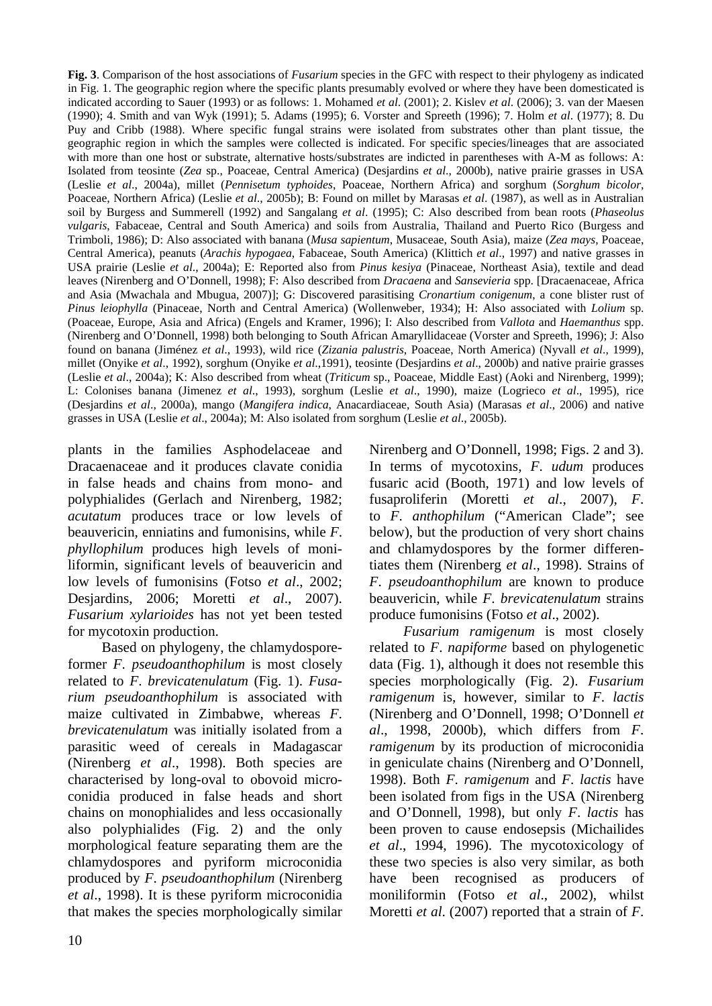**Fig. 3**. Comparison of the host associations of *Fusarium* species in the GFC with respect to their phylogeny as indicated in Fig. 1. The geographic region where the specific plants presumably evolved or where they have been domesticated is indicated according to Sauer (1993) or as follows: 1. Mohamed *et al*. (2001); 2. Kislev *et al*. (2006); 3. van der Maesen (1990); 4. Smith and van Wyk (1991); 5. Adams (1995); 6. Vorster and Spreeth (1996); 7. Holm *et al*. (1977); 8. Du Puy and Cribb (1988). Where specific fungal strains were isolated from substrates other than plant tissue, the geographic region in which the samples were collected is indicated. For specific species/lineages that are associated with more than one host or substrate, alternative hosts/substrates are indicted in parentheses with A-M as follows: A: Isolated from teosinte (*Zea* sp., Poaceae, Central America) (Desjardins *et al*., 2000b), native prairie grasses in USA (Leslie *et al*., 2004a), millet (*Pennisetum typhoides*, Poaceae, Northern Africa) and sorghum (*Sorghum bicolor*, Poaceae, Northern Africa) (Leslie *et al*., 2005b); B: Found on millet by Marasas *et al*. (1987), as well as in Australian soil by Burgess and Summerell (1992) and Sangalang *et al*. (1995); C: Also described from bean roots (*Phaseolus vulgaris*, Fabaceae, Central and South America) and soils from Australia, Thailand and Puerto Rico (Burgess and Trimboli, 1986); D: Also associated with banana (*Musa sapientum*, Musaceae, South Asia), maize (*Zea mays*, Poaceae, Central America), peanuts (*Arachis hypogaea*, Fabaceae, South America) (Klittich *et al*., 1997) and native grasses in USA prairie (Leslie *et al*., 2004a); E: Reported also from *Pinus kesiya* (Pinaceae, Northeast Asia), textile and dead leaves (Nirenberg and O'Donnell, 1998); F: Also described from *Dracaena* and *Sansevieria* spp. [Dracaenaceae, Africa and Asia (Mwachala and Mbugua, 2007)]; G: Discovered parasitising *Cronartium conigenum*, a cone blister rust of *Pinus leiophylla* (Pinaceae, North and Central America) (Wollenweber, 1934); H: Also associated with *Lolium* sp. (Poaceae, Europe, Asia and Africa) (Engels and Kramer, 1996); I: Also described from *Vallota* and *Haemanthus* spp. (Nirenberg and O'Donnell, 1998) both belonging to South African Amaryllidaceae (Vorster and Spreeth, 1996); J: Also found on banana (Jiménez *et al*., 1993), wild rice (*Zizania palustris*, Poaceae, North America) (Nyvall *et al*., 1999), millet (Onyike *et al*., 1992), sorghum (Onyike *et al*.,1991), teosinte (Desjardins *et al*., 2000b) and native prairie grasses (Leslie *et al*., 2004a); K: Also described from wheat (*Triticum* sp., Poaceae, Middle East) (Aoki and Nirenberg, 1999); L: Colonises banana (Jimenez *et al*., 1993), sorghum (Leslie *et al*., 1990), maize (Logrieco *et al*., 1995), rice (Desjardins *et al*., 2000a), mango (*Mangifera indica*, Anacardiaceae, South Asia) (Marasas *et al*., 2006) and native grasses in USA (Leslie *et al*., 2004a); M: Also isolated from sorghum (Leslie *et al*., 2005b).

plants in the families Asphodelaceae and Dracaenaceae and it produces clavate conidia in false heads and chains from mono- and polyphialides (Gerlach and Nirenberg, 1982; *acutatum* produces trace or low levels of beauvericin, enniatins and fumonisins, while *F*. *phyllophilum* produces high levels of moniliformin, significant levels of beauvericin and low levels of fumonisins (Fotso *et al*., 2002; Desjardins, 2006; Moretti *et al*., 2007). *Fusarium xylarioides* has not yet been tested for mycotoxin production.

Based on phylogeny, the chlamydosporeformer *F*. *pseudoanthophilum* is most closely related to *F*. *brevicatenulatum* (Fig. 1). *Fusarium pseudoanthophilum* is associated with maize cultivated in Zimbabwe, whereas *F*. *brevicatenulatum* was initially isolated from a parasitic weed of cereals in Madagascar (Nirenberg *et al*., 1998). Both species are characterised by long-oval to obovoid microconidia produced in false heads and short chains on monophialides and less occasionally also polyphialides (Fig. 2) and the only morphological feature separating them are the chlamydospores and pyriform microconidia produced by *F*. *pseudoanthophilum* (Nirenberg *et al*., 1998). It is these pyriform microconidia that makes the species morphologically similar Nirenberg and O'Donnell, 1998; Figs. 2 and 3). In terms of mycotoxins, *F*. *udum* produces fusaric acid (Booth, 1971) and low levels of fusaproliferin (Moretti *et al*., 2007), *F*. to *F*. *anthophilum* ("American Clade"; see below), but the production of very short chains and chlamydospores by the former differentiates them (Nirenberg *et al*., 1998). Strains of *F*. *pseudoanthophilum* are known to produce beauvericin, while *F*. *brevicatenulatum* strains produce fumonisins (Fotso *et al*., 2002).

*Fusarium ramigenum* is most closely related to *F*. *napiforme* based on phylogenetic data (Fig. 1), although it does not resemble this species morphologically (Fig. 2). *Fusarium ramigenum* is, however, similar to *F*. *lactis* (Nirenberg and O'Donnell, 1998; O'Donnell *et al*., 1998, 2000b), which differs from *F*. *ramigenum* by its production of microconidia in geniculate chains (Nirenberg and O'Donnell, 1998). Both *F*. *ramigenum* and *F*. *lactis* have been isolated from figs in the USA (Nirenberg and O'Donnell, 1998), but only *F*. *lactis* has been proven to cause endosepsis (Michailides *et al*., 1994, 1996). The mycotoxicology of these two species is also very similar, as both have been recognised as producers of moniliformin (Fotso *et al*., 2002), whilst Moretti *et al*. (2007) reported that a strain of *F*.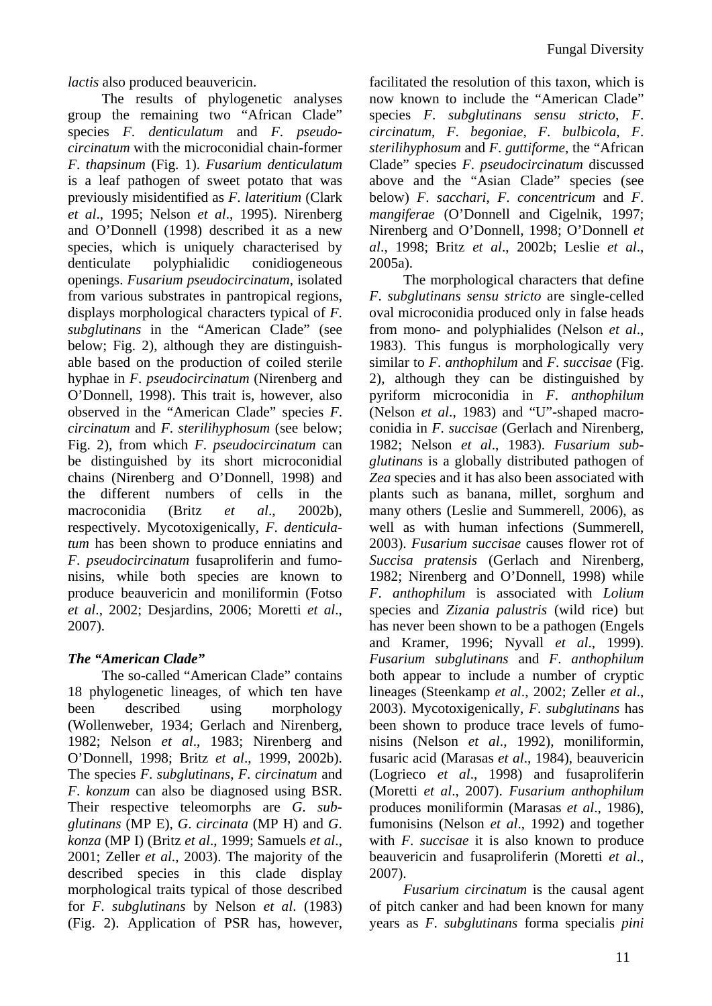*lactis* also produced beauvericin.

The results of phylogenetic analyses group the remaining two "African Clade" species *F*. *denticulatum* and *F*. *pseudocircinatum* with the microconidial chain-former *F*. *thapsinum* (Fig. 1). *Fusarium denticulatum* is a leaf pathogen of sweet potato that was previously misidentified as *F*. *lateritium* (Clark *et al*., 1995; Nelson *et al*., 1995). Nirenberg and O'Donnell (1998) described it as a new species, which is uniquely characterised by denticulate polyphialidic conidiogeneous openings. *Fusarium pseudocircinatum*, isolated from various substrates in pantropical regions, displays morphological characters typical of *F*. *subglutinans* in the "American Clade" (see below; Fig. 2), although they are distinguishable based on the production of coiled sterile hyphae in *F*. *pseudocircinatum* (Nirenberg and O'Donnell, 1998). This trait is, however, also observed in the "American Clade" species *F*. *circinatum* and *F*. *sterilihyphosum* (see below; Fig. 2), from which *F*. *pseudocircinatum* can be distinguished by its short microconidial chains (Nirenberg and O'Donnell, 1998) and the different numbers of cells in the macroconidia (Britz *et al*., 2002b), respectively. Mycotoxigenically, *F*. *denticulatum* has been shown to produce enniatins and *F*. *pseudocircinatum* fusaproliferin and fumonisins, while both species are known to produce beauvericin and moniliformin (Fotso *et al*., 2002; Desjardins, 2006; Moretti *et al*., 2007).

# *The "American Clade"*

The so-called "American Clade" contains 18 phylogenetic lineages, of which ten have been described using morphology (Wollenweber, 1934; Gerlach and Nirenberg, 1982; Nelson *et al*., 1983; Nirenberg and O'Donnell, 1998; Britz *et al*., 1999, 2002b). The species *F*. *subglutinans*, *F*. *circinatum* and *F*. *konzum* can also be diagnosed using BSR. Their respective teleomorphs are *G*. *subglutinans* (MP E), *G*. *circinata* (MP H) and *G*. *konza* (MP I) (Britz *et al*., 1999; Samuels *et al*., 2001; Zeller *et al*., 2003). The majority of the described species in this clade display morphological traits typical of those described for *F*. *subglutinans* by Nelson *et al*. (1983) (Fig. 2). Application of PSR has, however,

facilitated the resolution of this taxon, which is now known to include the "American Clade" species *F*. *subglutinans sensu stricto*, *F*. *circinatum*, *F*. *begoniae*, *F*. *bulbicola*, *F*. *sterilihyphosum* and *F*. *guttiforme*, the "African Clade" species *F*. *pseudocircinatum* discussed above and the "Asian Clade" species (see below) *F*. *sacchari*, *F*. *concentricum* and *F*. *mangiferae* (O'Donnell and Cigelnik, 1997; Nirenberg and O'Donnell, 1998; O'Donnell *et al*., 1998; Britz *et al*., 2002b; Leslie *et al*., 2005a).

The morphological characters that define *F*. *subglutinans sensu stricto* are single-celled oval microconidia produced only in false heads from mono- and polyphialides (Nelson *et al*., 1983). This fungus is morphologically very similar to *F*. *anthophilum* and *F*. *succisae* (Fig. 2), although they can be distinguished by pyriform microconidia in *F*. *anthophilum*  (Nelson *et al*., 1983) and "U"-shaped macroconidia in *F*. *succisae* (Gerlach and Nirenberg, 1982; Nelson *et al*., 1983). *Fusarium subglutinans* is a globally distributed pathogen of *Zea* species and it has also been associated with plants such as banana, millet, sorghum and many others (Leslie and Summerell, 2006), as well as with human infections (Summerell, 2003). *Fusarium succisae* causes flower rot of *Succisa pratensis* (Gerlach and Nirenberg, 1982; Nirenberg and O'Donnell, 1998) while *F*. *anthophilum* is associated with *Lolium* species and *Zizania palustris* (wild rice) but has never been shown to be a pathogen (Engels and Kramer, 1996; Nyvall *et al*., 1999). *Fusarium subglutinans* and *F*. *anthophilum* both appear to include a number of cryptic lineages (Steenkamp *et al*., 2002; Zeller *et al*., 2003). Mycotoxigenically, *F*. *subglutinans* has been shown to produce trace levels of fumonisins (Nelson *et al*., 1992), moniliformin, fusaric acid (Marasas *et al*., 1984), beauvericin (Logrieco *et al*., 1998) and fusaproliferin (Moretti *et al*., 2007). *Fusarium anthophilum*  produces moniliformin (Marasas *et al*., 1986), fumonisins (Nelson *et al*., 1992) and together with *F*. *succisae* it is also known to produce beauvericin and fusaproliferin (Moretti *et al*., 2007).

*Fusarium circinatum* is the causal agent of pitch canker and had been known for many years as *F*. *subglutinans* forma specialis *pini*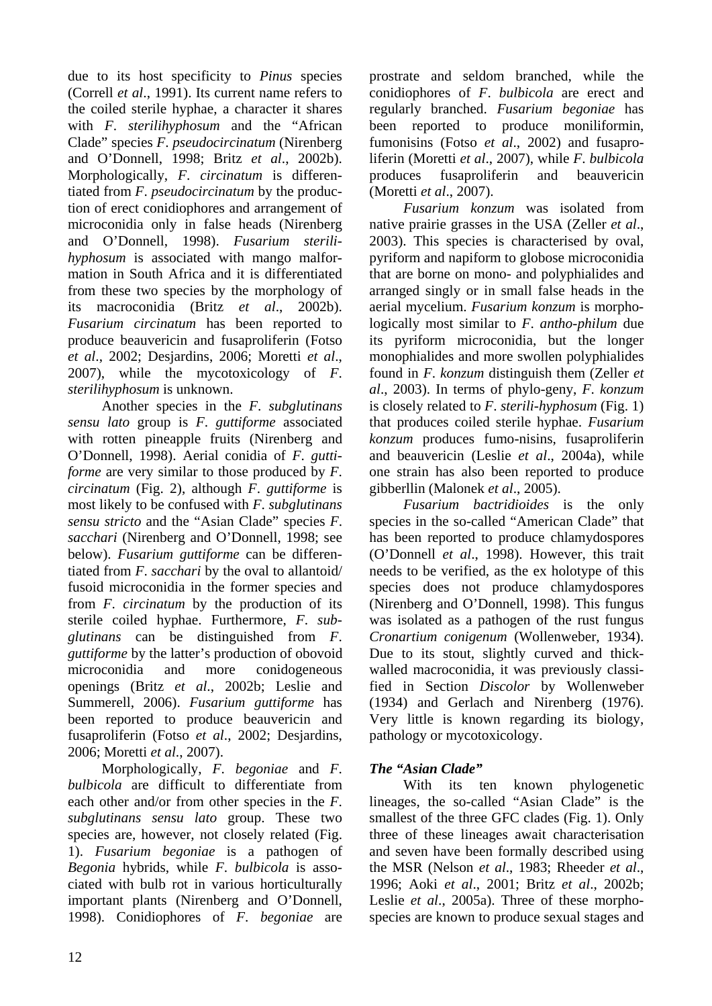due to its host specificity to *Pinus* species (Correll *et al*., 1991). Its current name refers to the coiled sterile hyphae, a character it shares with *F*. *sterilihyphosum* and the "African Clade" species *F*. *pseudocircinatum* (Nirenberg and O'Donnell, 1998; Britz *et al*., 2002b). Morphologically, *F*. *circinatum* is differentiated from *F*. *pseudocircinatum* by the production of erect conidiophores and arrangement of microconidia only in false heads (Nirenberg and O'Donnell, 1998). *Fusarium sterilihyphosum* is associated with mango malformation in South Africa and it is differentiated from these two species by the morphology of its macroconidia (Britz *et al*., 2002b). *Fusarium circinatum* has been reported to produce beauvericin and fusaproliferin (Fotso *et al*., 2002; Desjardins, 2006; Moretti *et al*., 2007), while the mycotoxicology of *F*. *sterilihyphosum* is unknown.

Another species in the *F*. *subglutinans sensu lato* group is *F*. *guttiforme* associated with rotten pineapple fruits (Nirenberg and O'Donnell, 1998). Aerial conidia of *F*. *guttiforme* are very similar to those produced by *F*. *circinatum* (Fig. 2), although *F*. *guttiforme* is most likely to be confused with *F*. *subglutinans sensu stricto* and the "Asian Clade" species *F*. *sacchari* (Nirenberg and O'Donnell, 1998; see below). *Fusarium guttiforme* can be differentiated from *F*. *sacchari* by the oval to allantoid/ fusoid microconidia in the former species and from *F*. *circinatum* by the production of its sterile coiled hyphae. Furthermore, *F*. *subglutinans* can be distinguished from *F*. *guttiforme* by the latter's production of obovoid microconidia and more conidogeneous openings (Britz *et al*., 2002b; Leslie and Summerell, 2006). *Fusarium guttiforme* has been reported to produce beauvericin and fusaproliferin (Fotso *et al*., 2002; Desjardins, 2006; Moretti *et al*., 2007).

Morphologically, *F*. *begoniae* and *F*. *bulbicola* are difficult to differentiate from each other and/or from other species in the *F*. *subglutinans sensu lato* group. These two species are, however, not closely related (Fig. 1). *Fusarium begoniae* is a pathogen of *Begonia* hybrids, while *F*. *bulbicola* is associated with bulb rot in various horticulturally important plants (Nirenberg and O'Donnell, 1998). Conidiophores of *F*. *begoniae* are prostrate and seldom branched, while the conidiophores of *F*. *bulbicola* are erect and regularly branched. *Fusarium begoniae* has been reported to produce moniliformin, fumonisins (Fotso *et al*., 2002) and fusaproliferin (Moretti *et al*., 2007), while *F*. *bulbicola*  produces fusaproliferin and beauvericin (Moretti *et al*., 2007).

*Fusarium konzum* was isolated from native prairie grasses in the USA (Zeller *et al*., 2003). This species is characterised by oval, pyriform and napiform to globose microconidia that are borne on mono- and polyphialides and arranged singly or in small false heads in the aerial mycelium. *Fusarium konzum* is morphologically most similar to *F*. *antho-philum* due its pyriform microconidia, but the longer monophialides and more swollen polyphialides found in *F*. *konzum* distinguish them (Zeller *et al*., 2003). In terms of phylo-geny, *F*. *konzum*  is closely related to *F*. *sterili-hyphosum* (Fig. 1) that produces coiled sterile hyphae. *Fusarium konzum* produces fumo-nisins, fusaproliferin and beauvericin (Leslie *et al*., 2004a), while one strain has also been reported to produce gibberllin (Malonek *et al*., 2005).

*Fusarium bactridioides* is the only species in the so-called "American Clade" that has been reported to produce chlamydospores (O'Donnell *et al*., 1998). However, this trait needs to be verified, as the ex holotype of this species does not produce chlamydospores (Nirenberg and O'Donnell, 1998). This fungus was isolated as a pathogen of the rust fungus *Cronartium conigenum* (Wollenweber, 1934). Due to its stout, slightly curved and thickwalled macroconidia, it was previously classified in Section *Discolor* by Wollenweber (1934) and Gerlach and Nirenberg (1976). Very little is known regarding its biology, pathology or mycotoxicology.

# *The "Asian Clade"*

With its ten known phylogenetic lineages, the so-called "Asian Clade" is the smallest of the three GFC clades (Fig. 1). Only three of these lineages await characterisation and seven have been formally described using the MSR (Nelson *et al*., 1983; Rheeder *et al*., 1996; Aoki *et al*., 2001; Britz *et al*., 2002b; Leslie *et al*., 2005a). Three of these morphospecies are known to produce sexual stages and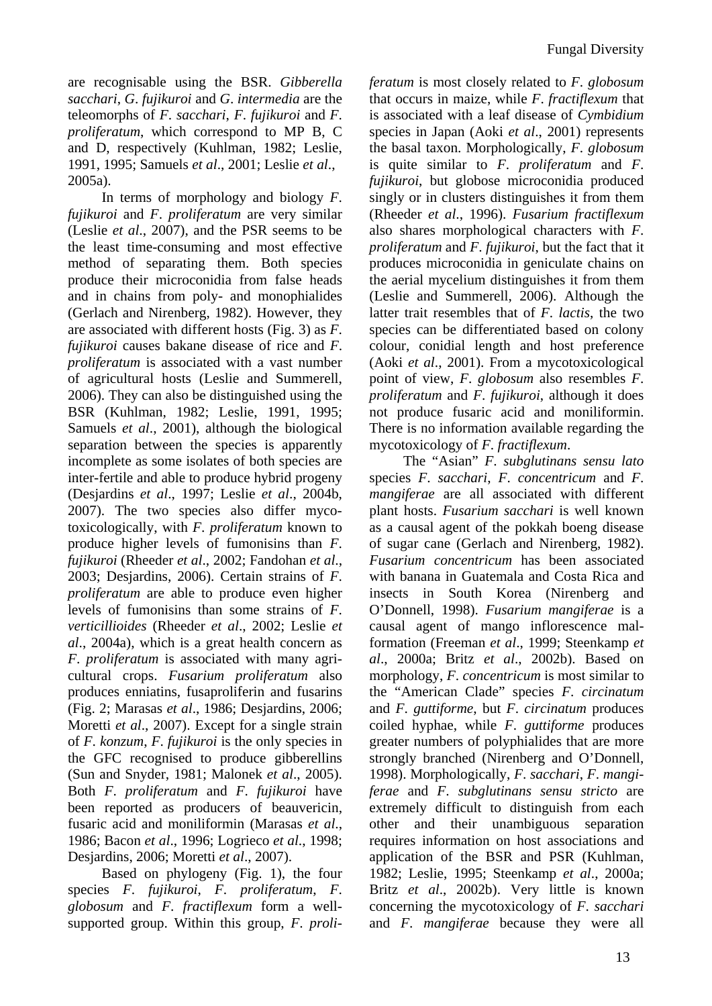are recognisable using the BSR. *Gibberella sacchari*, *G*. *fujikuroi* and *G*. *intermedia* are the teleomorphs of *F*. *sacchari*, *F*. *fujikuroi* and *F*. *proliferatum*, which correspond to MP B, C and D, respectively (Kuhlman, 1982; Leslie, 1991, 1995; Samuels *et al*., 2001; Leslie *et al*., 2005a).

In terms of morphology and biology *F*. *fujikuroi* and *F*. *proliferatum* are very similar (Leslie *et al*., 2007), and the PSR seems to be the least time-consuming and most effective method of separating them. Both species produce their microconidia from false heads and in chains from poly- and monophialides (Gerlach and Nirenberg, 1982). However, they are associated with different hosts (Fig. 3) as *F*. *fujikuroi* causes bakane disease of rice and *F*. *proliferatum* is associated with a vast number of agricultural hosts (Leslie and Summerell, 2006). They can also be distinguished using the BSR (Kuhlman, 1982; Leslie, 1991, 1995; Samuels *et al*., 2001), although the biological separation between the species is apparently incomplete as some isolates of both species are inter-fertile and able to produce hybrid progeny (Desjardins *et al*., 1997; Leslie *et al*., 2004b, 2007). The two species also differ mycotoxicologically, with *F*. *proliferatum* known to produce higher levels of fumonisins than *F*. *fujikuroi* (Rheeder *et al*., 2002; Fandohan *et al*., 2003; Desjardins, 2006). Certain strains of *F*. *proliferatum* are able to produce even higher levels of fumonisins than some strains of *F*. *verticillioides* (Rheeder *et al*., 2002; Leslie *et al*., 2004a), which is a great health concern as *F*. *proliferatum* is associated with many agricultural crops. *Fusarium proliferatum* also produces enniatins, fusaproliferin and fusarins (Fig. 2; Marasas *et al*., 1986; Desjardins, 2006; Moretti *et al*., 2007). Except for a single strain of *F*. *konzum*, *F*. *fujikuroi* is the only species in the GFC recognised to produce gibberellins (Sun and Snyder, 1981; Malonek *et al*., 2005). Both *F*. *proliferatum* and *F*. *fujikuroi* have been reported as producers of beauvericin, fusaric acid and moniliformin (Marasas *et al*., 1986; Bacon *et al*., 1996; Logrieco *et al*., 1998; Desjardins, 2006; Moretti *et al*., 2007).

Based on phylogeny (Fig. 1), the four species *F*. *fujikuroi*, *F*. *proliferatum*, *F*. *globosum* and *F*. *fractiflexum* form a wellsupported group. Within this group, *F*. *proli-* *feratum* is most closely related to *F*. *globosum* that occurs in maize, while *F*. *fractiflexum* that is associated with a leaf disease of *Cymbidium*  species in Japan (Aoki *et al*., 2001) represents the basal taxon. Morphologically, *F*. *globosum* is quite similar to *F*. *proliferatum* and *F*. *fujikuroi*, but globose microconidia produced singly or in clusters distinguishes it from them (Rheeder *et al*., 1996). *Fusarium fractiflexum*  also shares morphological characters with *F*. *proliferatum* and *F*. *fujikuroi*, but the fact that it produces microconidia in geniculate chains on the aerial mycelium distinguishes it from them (Leslie and Summerell, 2006). Although the latter trait resembles that of *F*. *lactis*, the two species can be differentiated based on colony colour, conidial length and host preference (Aoki *et al*., 2001). From a mycotoxicological point of view, *F*. *globosum* also resembles *F*. *proliferatum* and *F*. *fujikuroi*, although it does not produce fusaric acid and moniliformin. There is no information available regarding the mycotoxicology of *F*. *fractiflexum*.

The "Asian" *F*. *subglutinans sensu lato*  species *F*. *sacchari*, *F*. *concentricum* and *F*. *mangiferae* are all associated with different plant hosts. *Fusarium sacchari* is well known as a causal agent of the pokkah boeng disease of sugar cane (Gerlach and Nirenberg, 1982). *Fusarium concentricum* has been associated with banana in Guatemala and Costa Rica and insects in South Korea (Nirenberg and O'Donnell, 1998). *Fusarium mangiferae* is a causal agent of mango inflorescence malformation (Freeman *et al*., 1999; Steenkamp *et al*., 2000a; Britz *et al*., 2002b). Based on morphology, *F*. *concentricum* is most similar to the "American Clade" species *F*. *circinatum*  and *F*. *guttiforme*, but *F*. *circinatum* produces coiled hyphae, while *F*. *guttiforme* produces greater numbers of polyphialides that are more strongly branched (Nirenberg and O'Donnell, 1998). Morphologically, *F*. *sacchari*, *F*. *mangiferae* and *F*. *subglutinans sensu stricto* are extremely difficult to distinguish from each other and their unambiguous separation requires information on host associations and application of the BSR and PSR (Kuhlman, 1982; Leslie, 1995; Steenkamp *et al*., 2000a; Britz *et al*., 2002b). Very little is known concerning the mycotoxicology of *F*. *sacchari*  and *F*. *mangiferae* because they were all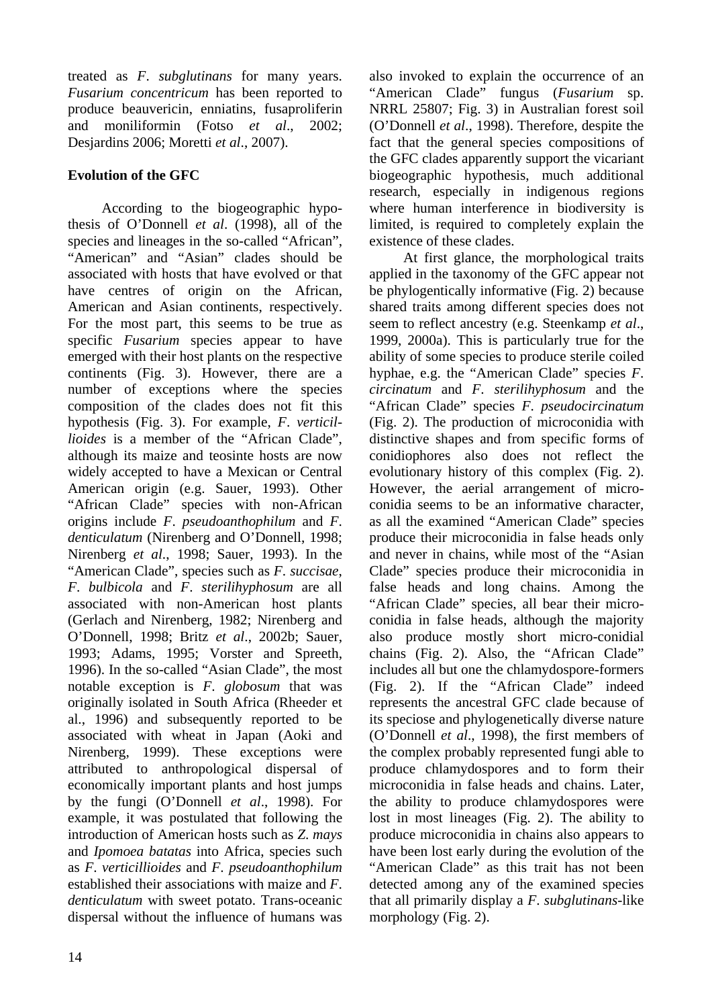treated as *F*. *subglutinans* for many years. *Fusarium concentricum* has been reported to produce beauvericin, enniatins, fusaproliferin and moniliformin (Fotso *et al*., 2002; Desjardins 2006; Moretti *et al*., 2007).

### **Evolution of the GFC**

According to the biogeographic hypothesis of O'Donnell *et al*. (1998), all of the species and lineages in the so-called "African", "American" and "Asian" clades should be associated with hosts that have evolved or that have centres of origin on the African, American and Asian continents, respectively. For the most part, this seems to be true as specific *Fusarium* species appear to have emerged with their host plants on the respective continents (Fig. 3). However, there are a number of exceptions where the species composition of the clades does not fit this hypothesis (Fig. 3). For example, *F*. *verticillioides* is a member of the "African Clade", although its maize and teosinte hosts are now widely accepted to have a Mexican or Central American origin (e.g. Sauer, 1993). Other "African Clade" species with non-African origins include *F*. *pseudoanthophilum* and *F*. *denticulatum* (Nirenberg and O'Donnell, 1998; Nirenberg *et al*., 1998; Sauer, 1993). In the "American Clade", species such as *F*. *succisae*, *F*. *bulbicola* and *F*. *sterilihyphosum* are all associated with non-American host plants (Gerlach and Nirenberg, 1982; Nirenberg and O'Donnell, 1998; Britz *et al*., 2002b; Sauer, 1993; Adams, 1995; Vorster and Spreeth, 1996). In the so-called "Asian Clade", the most notable exception is *F*. *globosum* that was originally isolated in South Africa (Rheeder et al., 1996) and subsequently reported to be associated with wheat in Japan (Aoki and Nirenberg, 1999). These exceptions were attributed to anthropological dispersal of economically important plants and host jumps by the fungi (O'Donnell *et al*., 1998). For example, it was postulated that following the introduction of American hosts such as *Z*. *mays* and *Ipomoea batatas* into Africa, species such as *F*. *verticillioides* and *F*. *pseudoanthophilum* established their associations with maize and *F*. *denticulatum* with sweet potato. Trans-oceanic dispersal without the influence of humans was

also invoked to explain the occurrence of an "American Clade" fungus (*Fusarium* sp. NRRL 25807; Fig. 3) in Australian forest soil (O'Donnell *et al*., 1998). Therefore, despite the fact that the general species compositions of the GFC clades apparently support the vicariant biogeographic hypothesis, much additional research, especially in indigenous regions where human interference in biodiversity is limited, is required to completely explain the existence of these clades.

At first glance, the morphological traits applied in the taxonomy of the GFC appear not be phylogentically informative (Fig. 2) because shared traits among different species does not seem to reflect ancestry (e.g. Steenkamp *et al*., 1999, 2000a). This is particularly true for the ability of some species to produce sterile coiled hyphae, e.g. the "American Clade" species *F*. *circinatum* and *F*. *sterilihyphosum* and the "African Clade" species *F*. *pseudocircinatum* (Fig. 2). The production of microconidia with distinctive shapes and from specific forms of conidiophores also does not reflect the evolutionary history of this complex (Fig. 2). However, the aerial arrangement of microconidia seems to be an informative character, as all the examined "American Clade" species produce their microconidia in false heads only and never in chains, while most of the "Asian Clade" species produce their microconidia in false heads and long chains. Among the "African Clade" species, all bear their microconidia in false heads, although the majority also produce mostly short micro-conidial chains (Fig. 2). Also, the "African Clade" includes all but one the chlamydospore-formers (Fig. 2). If the "African Clade" indeed represents the ancestral GFC clade because of its speciose and phylogenetically diverse nature (O'Donnell *et al*., 1998), the first members of the complex probably represented fungi able to produce chlamydospores and to form their microconidia in false heads and chains. Later, the ability to produce chlamydospores were lost in most lineages (Fig. 2). The ability to produce microconidia in chains also appears to have been lost early during the evolution of the "American Clade" as this trait has not been detected among any of the examined species that all primarily display a *F*. *subglutinans*-like morphology (Fig. 2).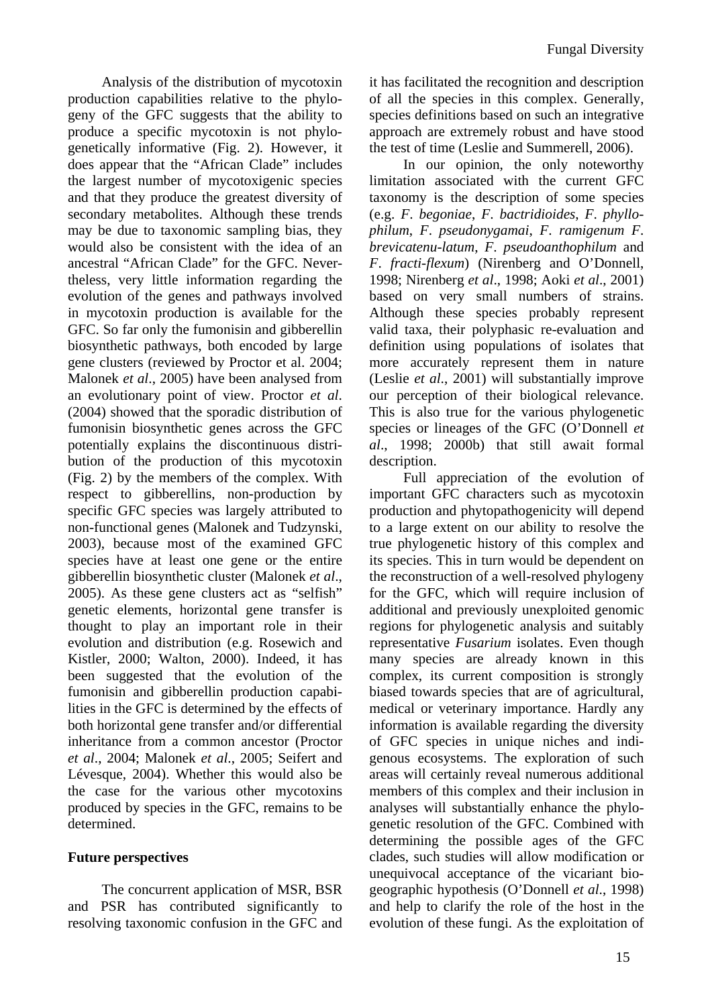Analysis of the distribution of mycotoxin production capabilities relative to the phylogeny of the GFC suggests that the ability to produce a specific mycotoxin is not phylogenetically informative (Fig. 2). However, it does appear that the "African Clade" includes the largest number of mycotoxigenic species and that they produce the greatest diversity of secondary metabolites. Although these trends may be due to taxonomic sampling bias, they would also be consistent with the idea of an ancestral "African Clade" for the GFC. Nevertheless, very little information regarding the evolution of the genes and pathways involved in mycotoxin production is available for the GFC. So far only the fumonisin and gibberellin biosynthetic pathways, both encoded by large gene clusters (reviewed by Proctor et al. 2004; Malonek *et al*., 2005) have been analysed from an evolutionary point of view. Proctor *et al*. (2004) showed that the sporadic distribution of fumonisin biosynthetic genes across the GFC potentially explains the discontinuous distribution of the production of this mycotoxin (Fig. 2) by the members of the complex. With respect to gibberellins, non-production by specific GFC species was largely attributed to non-functional genes (Malonek and Tudzynski, 2003), because most of the examined GFC species have at least one gene or the entire gibberellin biosynthetic cluster (Malonek *et al*., 2005). As these gene clusters act as "selfish" genetic elements, horizontal gene transfer is thought to play an important role in their evolution and distribution (e.g. Rosewich and Kistler, 2000; Walton, 2000). Indeed, it has been suggested that the evolution of the fumonisin and gibberellin production capabilities in the GFC is determined by the effects of both horizontal gene transfer and/or differential inheritance from a common ancestor (Proctor *et al*., 2004; Malonek *et al*., 2005; Seifert and Lévesque, 2004). Whether this would also be the case for the various other mycotoxins produced by species in the GFC, remains to be determined.

#### **Future perspectives**

The concurrent application of MSR, BSR and PSR has contributed significantly to resolving taxonomic confusion in the GFC and it has facilitated the recognition and description of all the species in this complex. Generally, species definitions based on such an integrative approach are extremely robust and have stood the test of time (Leslie and Summerell, 2006).

In our opinion, the only noteworthy limitation associated with the current GFC taxonomy is the description of some species (e.g. *F*. *begoniae*, *F*. *bactridioides*, *F*. *phyllophilum*, *F*. *pseudonygamai*, *F*. *ramigenum F*. *brevicatenu-latum*, *F*. *pseudoanthophilum* and *F*. *fracti-flexum*) (Nirenberg and O'Donnell, 1998; Nirenberg *et al*., 1998; Aoki *et al*., 2001) based on very small numbers of strains. Although these species probably represent valid taxa, their polyphasic re-evaluation and definition using populations of isolates that more accurately represent them in nature (Leslie *et al*., 2001) will substantially improve our perception of their biological relevance. This is also true for the various phylogenetic species or lineages of the GFC (O'Donnell *et al*., 1998; 2000b) that still await formal description.

Full appreciation of the evolution of important GFC characters such as mycotoxin production and phytopathogenicity will depend to a large extent on our ability to resolve the true phylogenetic history of this complex and its species. This in turn would be dependent on the reconstruction of a well-resolved phylogeny for the GFC, which will require inclusion of additional and previously unexploited genomic regions for phylogenetic analysis and suitably representative *Fusarium* isolates. Even though many species are already known in this complex, its current composition is strongly biased towards species that are of agricultural, medical or veterinary importance. Hardly any information is available regarding the diversity of GFC species in unique niches and indigenous ecosystems. The exploration of such areas will certainly reveal numerous additional members of this complex and their inclusion in analyses will substantially enhance the phylogenetic resolution of the GFC. Combined with determining the possible ages of the GFC clades, such studies will allow modification or unequivocal acceptance of the vicariant biogeographic hypothesis (O'Donnell *et al*., 1998) and help to clarify the role of the host in the evolution of these fungi. As the exploitation of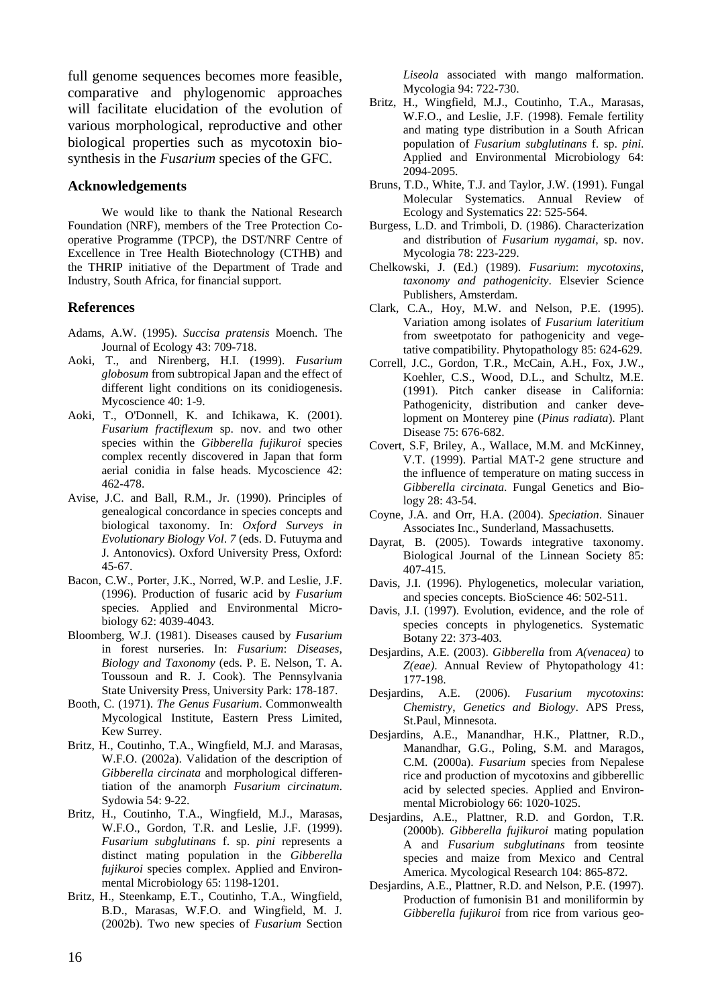full genome sequences becomes more feasible, comparative and phylogenomic approaches will facilitate elucidation of the evolution of various morphological, reproductive and other biological properties such as mycotoxin biosynthesis in the *Fusarium* species of the GFC.

#### **Acknowledgements**

We would like to thank the National Research Foundation (NRF), members of the Tree Protection Cooperative Programme (TPCP), the DST/NRF Centre of Excellence in Tree Health Biotechnology (CTHB) and the THRIP initiative of the Department of Trade and Industry, South Africa, for financial support.

#### **References**

- Adams, A.W. (1995). *Succisa pratensis* Moench. The Journal of Ecology 43: 709-718.
- Aoki, T., and Nirenberg, H.I. (1999). *Fusarium globosum* from subtropical Japan and the effect of different light conditions on its conidiogenesis. Mycoscience 40: 1-9.
- Aoki, T., O'Donnell, K. and Ichikawa, K. (2001). *Fusarium fractiflexum* sp. nov. and two other species within the *Gibberella fujikuroi* species complex recently discovered in Japan that form aerial conidia in false heads. Mycoscience 42: 462-478.
- Avise, J.C. and Ball, R.M., Jr. (1990). Principles of genealogical concordance in species concepts and biological taxonomy. In: *Oxford Surveys in Evolutionary Biology Vol*. *7* (eds. D. Futuyma and J. Antonovics). Oxford University Press, Oxford: 45-67.
- Bacon, C.W., Porter, J.K., Norred, W.P. and Leslie, J.F. (1996). Production of fusaric acid by *Fusarium* species. Applied and Environmental Microbiology 62: 4039-4043.
- Bloomberg, W.J. (1981). Diseases caused by *Fusarium* in forest nurseries. In: *Fusarium*: *Diseases*, *Biology and Taxonomy* (eds. P. E. Nelson, T. A. Toussoun and R. J. Cook). The Pennsylvania State University Press, University Park: 178-187.
- Booth, C. (1971). *The Genus Fusarium*. Commonwealth Mycological Institute, Eastern Press Limited, Kew Surrey.
- Britz, H., Coutinho, T.A., Wingfield, M.J. and Marasas, W.F.O. (2002a). Validation of the description of *Gibberella circinata* and morphological differentiation of the anamorph *Fusarium circinatum*. Sydowia 54: 9-22.
- Britz, H., Coutinho, T.A., Wingfield, M.J., Marasas, W.F.O., Gordon, T.R. and Leslie, J.F. (1999). *Fusarium subglutinans* f. sp. *pini* represents a distinct mating population in the *Gibberella fujikuroi* species complex. Applied and Environmental Microbiology 65: 1198-1201.
- Britz, H., Steenkamp, E.T., Coutinho, T.A., Wingfield, B.D., Marasas, W.F.O. and Wingfield, M. J. (2002b). Two new species of *Fusarium* Section

*Liseola* associated with mango malformation. Mycologia 94: 722-730.

- Britz, H., Wingfield, M.J., Coutinho, T.A., Marasas, W.F.O., and Leslie, J.F. (1998). Female fertility and mating type distribution in a South African population of *Fusarium subglutinans* f. sp. *pini*. Applied and Environmental Microbiology 64: 2094-2095.
- Bruns, T.D., White, T.J. and Taylor, J.W. (1991). Fungal Molecular Systematics. Annual Review of Ecology and Systematics 22: 525-564.
- Burgess, L.D. and Trimboli, D. (1986). Characterization and distribution of *Fusarium nygamai*, sp. nov. Mycologia 78: 223-229.
- Chelkowski, J. (Ed.) (1989). *Fusarium*: *mycotoxins*, *taxonomy and pathogenicity*. Elsevier Science Publishers, Amsterdam.
- Clark, C.A., Hoy, M.W. and Nelson, P.E. (1995). Variation among isolates of *Fusarium lateritium*  from sweetpotato for pathogenicity and vegetative compatibility. Phytopathology 85: 624-629.
- Correll, J.C., Gordon, T.R., McCain, A.H., Fox, J.W., Koehler, C.S., Wood, D.L., and Schultz, M.E. (1991). Pitch canker disease in California: Pathogenicity, distribution and canker development on Monterey pine (*Pinus radiata*). Plant Disease 75: 676-682.
- Covert, S.F, Briley, A., Wallace, M.M. and McKinney, V.T. (1999). Partial MAT-2 gene structure and the influence of temperature on mating success in *Gibberella circinata*. Fungal Genetics and Biology 28: 43-54.
- Coyne, J.A. and Orr, H.A. (2004). *Speciation*. Sinauer Associates Inc., Sunderland, Massachusetts.
- Dayrat, B. (2005). Towards integrative taxonomy. Biological Journal of the Linnean Society 85: 407-415.
- Davis, J.I. (1996). Phylogenetics, molecular variation, and species concepts. BioScience 46: 502-511.
- Davis, J.I. (1997). Evolution, evidence, and the role of species concepts in phylogenetics. Systematic Botany 22: 373-403.
- Desjardins, A.E. (2003). *Gibberella* from *A(venacea)* to *Z(eae)*. Annual Review of Phytopathology 41: 177-198.
- Desjardins, A.E. (2006). *Fusarium mycotoxins*: *Chemistry*, *Genetics and Biology*. APS Press, St.Paul, Minnesota.
- Desjardins, A.E., Manandhar, H.K., Plattner, R.D., Manandhar, G.G., Poling, S.M. and Maragos, C.M. (2000a). *Fusarium* species from Nepalese rice and production of mycotoxins and gibberellic acid by selected species. Applied and Environmental Microbiology 66: 1020-1025.
- Desjardins, A.E., Plattner, R.D. and Gordon, T.R. (2000b). *Gibberella fujikuroi* mating population A and *Fusarium subglutinans* from teosinte species and maize from Mexico and Central America. Mycological Research 104: 865-872.
- Desjardins, A.E., Plattner, R.D. and Nelson, P.E. (1997). Production of fumonisin B1 and moniliformin by *Gibberella fujikuroi* from rice from various geo-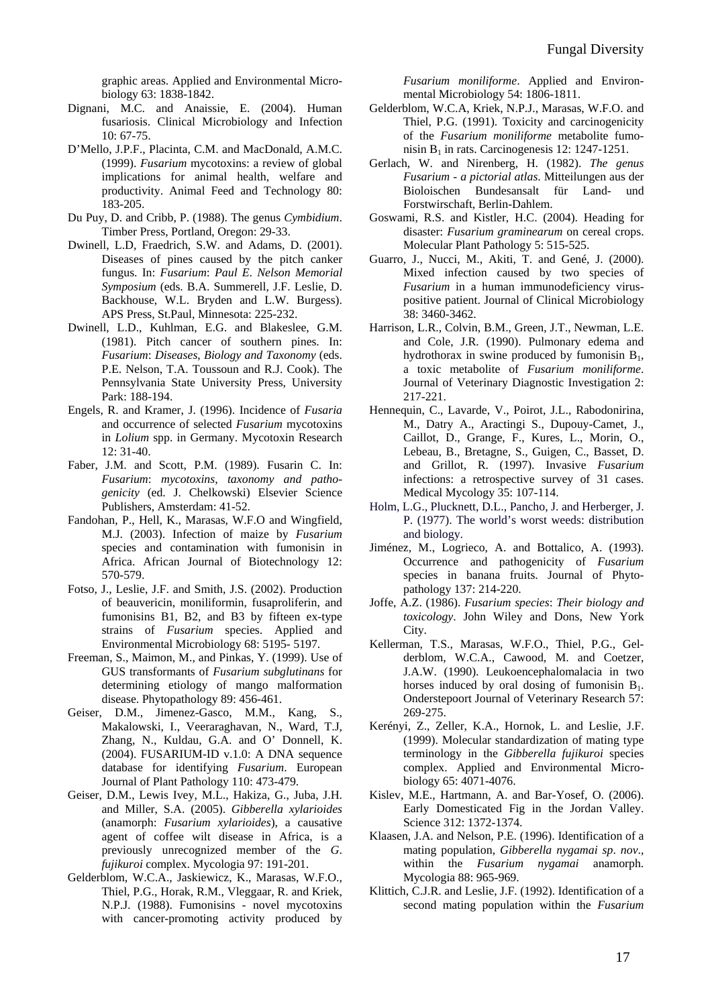graphic areas. Applied and Environmental Microbiology 63: 1838-1842.

- Dignani, M.C. and Anaissie, E. (2004). Human fusariosis. Clinical Microbiology and Infection 10: 67-75.
- D'Mello, J.P.F., Placinta, C.M. and MacDonald, A.M.C. (1999). *Fusarium* mycotoxins: a review of global implications for animal health, welfare and productivity. Animal Feed and Technology 80: 183-205.
- Du Puy, D. and Cribb, P. (1988). The genus *Cymbidium*. Timber Press, Portland, Oregon: 29-33.
- Dwinell, L.D, Fraedrich, S.W. and Adams, D. (2001). Diseases of pines caused by the pitch canker fungus. In: *Fusarium*: *Paul E*. *Nelson Memorial Symposium* (eds. B.A. Summerell, J.F. Leslie, D. Backhouse, W.L. Bryden and L.W. Burgess). APS Press, St.Paul, Minnesota: 225-232.
- Dwinell, L.D., Kuhlman, E.G. and Blakeslee, G.M. (1981). Pitch cancer of southern pines. In: *Fusarium*: *Diseases*, *Biology and Taxonomy* (eds. P.E. Nelson, T.A. Toussoun and R.J. Cook). The Pennsylvania State University Press, University Park: 188-194.
- Engels, R. and Kramer, J. (1996). Incidence of *Fusaria* and occurrence of selected *Fusarium* mycotoxins in *Lolium* spp. in Germany. Mycotoxin Research 12: 31-40.
- Faber, J.M. and Scott, P.M. (1989). Fusarin C. In: *Fusarium*: *mycotoxins*, *taxonomy and pathogenicity* (ed. J. Chelkowski) Elsevier Science Publishers, Amsterdam: 41-52.
- Fandohan, P., Hell, K., Marasas, W.F.O and Wingfield, M.J. (2003). Infection of maize by *Fusarium* species and contamination with fumonisin in Africa. African Journal of Biotechnology 12: 570-579.
- Fotso, J., Leslie, J.F. and Smith, J.S. (2002). Production of beauvericin, moniliformin, fusaproliferin, and fumonisins B1, B2, and B3 by fifteen ex-type strains of *Fusarium* species. Applied and Environmental Microbiology 68: 5195- 5197.
- Freeman, S., Maimon, M., and Pinkas, Y. (1999). Use of GUS transformants of *Fusarium subglutinans* for determining etiology of mango malformation disease. Phytopathology 89: 456-461.
- Geiser, D.M., Jimenez-Gasco, M.M., Kang, S., Makalowski, I., Veeraraghavan, N., Ward, T.J, Zhang, N., Kuldau, G.A. and O' Donnell, K. (2004). FUSARIUM-ID v.1.0: A DNA sequence database for identifying *Fusarium*. European Journal of Plant Pathology 110: 473-479.
- Geiser, D.M., Lewis Ivey, M.L., Hakiza, G., Juba, J.H. and Miller, S.A. (2005). *Gibberella xylarioides*  (anamorph: *Fusarium xylarioides*), a causative agent of coffee wilt disease in Africa, is a previously unrecognized member of the *G*. *fujikuroi* complex. Mycologia 97: 191-201.
- Gelderblom, W.C.A., Jaskiewicz, K., Marasas, W.F.O., Thiel, P.G., Horak, R.M., Vleggaar, R. and Kriek, N.P.J. (1988). Fumonisins - novel mycotoxins with cancer-promoting activity produced by

*Fusarium moniliforme*. Applied and Environmental Microbiology 54: 1806-1811.

- Gelderblom, W.C.A, Kriek, N.P.J., Marasas, W.F.O. and Thiel, P.G. (1991). Toxicity and carcinogenicity of the *Fusarium moniliforme* metabolite fumonisin B<sub>1</sub> in rats. Carcinogenesis 12: 1247-1251.
- Gerlach, W. and Nirenberg, H. (1982). *The genus Fusarium - a pictorial atlas*. Mitteilungen aus der Bioloischen Bundesansalt für Land- und Forstwirschaft, Berlin-Dahlem.
- Goswami, R.S. and Kistler, H.C. (2004). Heading for disaster: *Fusarium graminearum* on cereal crops. Molecular Plant Pathology 5: 515-525.
- Guarro, J., Nucci, M., Akiti, T. and Gené, J. (2000). Mixed infection caused by two species of *Fusarium* in a human immunodeficiency viruspositive patient. Journal of Clinical Microbiology 38: 3460-3462.
- Harrison, L.R., Colvin, B.M., Green, J.T., Newman, L.E. and Cole, J.R. (1990). Pulmonary edema and hydrothorax in swine produced by fumonisin  $B_1$ , a toxic metabolite of *Fusarium moniliforme*. Journal of Veterinary Diagnostic Investigation 2: 217-221.
- Hennequin, C., Lavarde, V., Poirot, J.L., Rabodonirina, M., Datry A., Aractingi S., Dupouy-Camet, J., Caillot, D., Grange, F., Kures, L., Morin, O., Lebeau, B., Bretagne, S., Guigen, C., Basset, D. and Grillot, R. (1997). Invasive *Fusarium* infections: a retrospective survey of 31 cases. Medical Mycology 35: 107-114.
- Holm, L.G., Plucknett, D.L., Pancho, J. and Herberger, J. P. (1977). The world's worst weeds: distribution and biology.
- Jiménez, M., Logrieco, A. and Bottalico, A. (1993). Occurrence and pathogenicity of *Fusarium* species in banana fruits. Journal of Phytopathology 137: 214-220.
- Joffe, A.Z. (1986). *Fusarium species*: *Their biology and toxicology*. John Wiley and Dons, New York City.
- Kellerman, T.S., Marasas, W.F.O., Thiel, P.G., Gelderblom, W.C.A., Cawood, M. and Coetzer, J.A.W. (1990). Leukoencephalomalacia in two horses induced by oral dosing of fumonisin  $B_1$ . Onderstepoort Journal of Veterinary Research 57: 269-275.
- Kerényi, Z., Zeller, K.A., Hornok, L. and Leslie, J.F. (1999). Molecular standardization of mating type terminology in the *Gibberella fujikuroi* species complex. Applied and Environmental Microbiology 65: 4071-4076.
- Kislev, M.E., Hartmann, A. and Bar-Yosef, O. (2006). Early Domesticated Fig in the Jordan Valley. Science 312: 1372-1374.
- Klaasen, J.A. and Nelson, P.E. (1996). Identification of a mating population, *Gibberella nygamai sp*. *nov*., within the *Fusarium nygamai* anamorph. Mycologia 88: 965-969.
- Klittich, C.J.R. and Leslie, J.F. (1992). Identification of a second mating population within the *Fusarium*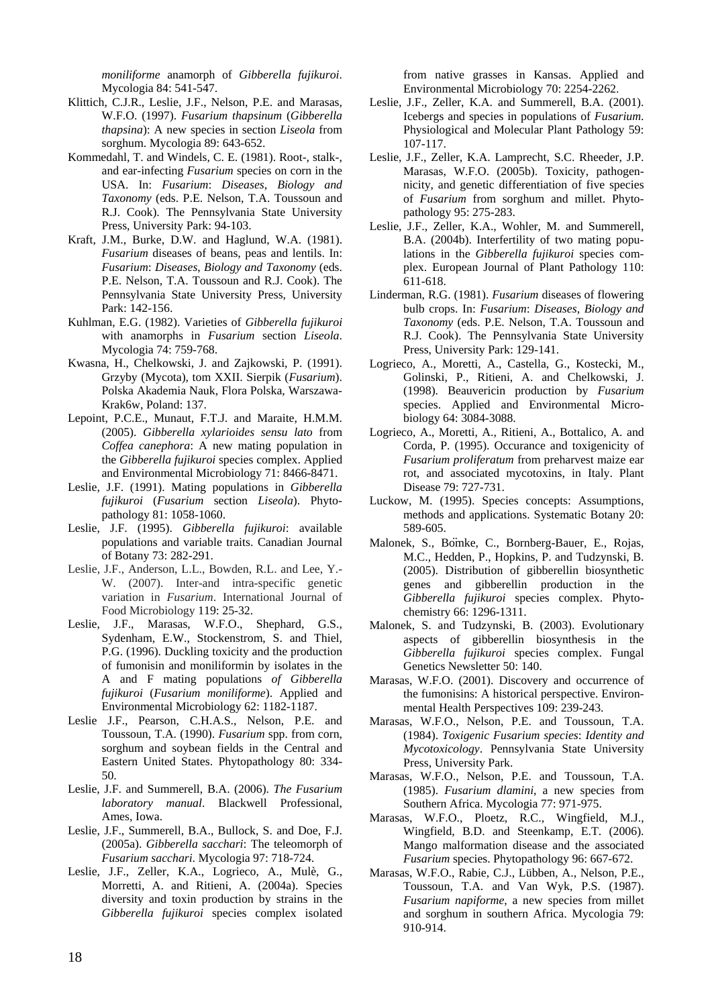*moniliforme* anamorph of *Gibberella fujikuroi*. Mycologia 84: 541-547.

- Klittich, C.J.R., Leslie, J.F., Nelson, P.E. and Marasas, W.F.O. (1997). *Fusarium thapsinum* (*Gibberella thapsina*): A new species in section *Liseola* from sorghum. Mycologia 89: 643-652.
- Kommedahl, T. and Windels, C. E. (1981). Root-, stalk-, and ear-infecting *Fusarium* species on corn in the USA. In: *Fusarium*: *Diseases*, *Biology and Taxonomy* (eds. P.E. Nelson, T.A. Toussoun and R.J. Cook). The Pennsylvania State University Press, University Park: 94-103.
- Kraft, J.M., Burke, D.W. and Haglund, W.A. (1981). *Fusarium* diseases of beans, peas and lentils. In: *Fusarium*: *Diseases*, *Biology and Taxonomy* (eds. P.E. Nelson, T.A. Toussoun and R.J. Cook). The Pennsylvania State University Press, University Park: 142-156.
- Kuhlman, E.G. (1982). Varieties of *Gibberella fujikuroi*  with anamorphs in *Fusarium* section *Liseola*. Mycologia 74: 759-768.
- Kwasna, H., Chelkowski, J. and Zajkowski, P. (1991). Grzyby (Mycota), tom XXII. Sierpik (*Fusarium*). Polska Akademia Nauk, Flora Polska, Warszawa-Krak6w, Poland: 137.
- Lepoint, P.C.E., Munaut, F.T.J. and Maraite, H.M.M. (2005). *Gibberella xylarioides sensu lato* from *Coffea canephora*: A new mating population in the *Gibberella fujikuroi* species complex. Applied and Environmental Microbiology 71: 8466-8471.
- Leslie, J.F. (1991). Mating populations in *Gibberella fujikuroi* (*Fusarium* section *Liseola*). Phytopathology 81: 1058-1060.
- Leslie, J.F. (1995). *Gibberella fujikuroi*: available populations and variable traits. Canadian Journal of Botany 73: 282-291.
- Leslie, J.F., Anderson, L.L., Bowden, R.L. and Lee, Y.- W. (2007). Inter-and intra-specific genetic variation in *Fusarium*. International Journal of Food Microbiology 119: 25-32.
- Leslie, J.F., Marasas, W.F.O., Shephard, G.S., Sydenham, E.W., Stockenstrom, S. and Thiel, P.G. (1996). Duckling toxicity and the production of fumonisin and moniliformin by isolates in the A and F mating populations *of Gibberella fujikuroi* (*Fusarium moniliforme*). Applied and Environmental Microbiology 62: 1182-1187.
- Leslie J.F., Pearson, C.H.A.S., Nelson, P.E. and Toussoun, T.A. (1990). *Fusarium* spp. from corn, sorghum and soybean fields in the Central and Eastern United States. Phytopathology 80: 334- 50.
- Leslie, J.F. and Summerell, B.A. (2006). *The Fusarium laboratory manual*. Blackwell Professional, Ames, Iowa.
- Leslie, J.F., Summerell, B.A., Bullock, S. and Doe, F.J. (2005a). *Gibberella sacchari*: The teleomorph of *Fusarium sacchari*. Mycologia 97: 718-724.
- Leslie, J.F., Zeller, K.A., Logrieco, A., Mulè, G., Morretti, A. and Ritieni, A. (2004a). Species diversity and toxin production by strains in the *Gibberella fujikuroi* species complex isolated

from native grasses in Kansas. Applied and Environmental Microbiology 70: 2254-2262.

- Leslie, J.F., Zeller, K.A. and Summerell, B.A. (2001). Icebergs and species in populations of *Fusarium*. Physiological and Molecular Plant Pathology 59: 107-117.
- Leslie, J.F., Zeller, K.A. Lamprecht, S.C. Rheeder, J.P. Marasas, W.F.O. (2005b). Toxicity, pathogennicity, and genetic differentiation of five species of *Fusarium* from sorghum and millet. Phytopathology 95: 275-283.
- Leslie, J.F., Zeller, K.A., Wohler, M. and Summerell, B.A. (2004b). Interfertility of two mating populations in the *Gibberella fujikuroi* species complex. European Journal of Plant Pathology 110: 611-618.
- Linderman, R.G. (1981). *Fusarium* diseases of flowering bulb crops. In: *Fusarium*: *Diseases*, *Biology and Taxonomy* (eds. P.E. Nelson, T.A. Toussoun and R.J. Cook). The Pennsylvania State University Press, University Park: 129-141.
- Logrieco, A., Moretti, A., Castella, G., Kostecki, M., Golinski, P., Ritieni, A. and Chelkowski, J. (1998). Beauvericin production by *Fusarium*  species. Applied and Environmental Microbiology 64: 3084-3088.
- Logrieco, A., Moretti, A., Ritieni, A., Bottalico, A. and Corda, P. (1995). Occurance and toxigenicity of *Fusarium proliferatum* from preharvest maize ear rot, and associated mycotoxins, in Italy. Plant Disease 79: 727-731.
- Luckow, M. (1995). Species concepts: Assumptions, methods and applications. Systematic Botany 20: 589-605.
- Malonek, S., Bömke, C., Bornberg-Bauer, E., Rojas, M.C., Hedden, P., Hopkins, P. and Tudzynski, B. (2005). Distribution of gibberellin biosynthetic genes and gibberellin production in the *Gibberella fujikuroi* species complex. Phytochemistry 66: 1296-1311.
- Malonek, S. and Tudzynski, B. (2003). Evolutionary aspects of gibberellin biosynthesis in the *Gibberella fujikuroi* species complex. Fungal Genetics Newsletter 50: 140.
- Marasas, W.F.O. (2001). Discovery and occurrence of the fumonisins: A historical perspective. Environmental Health Perspectives 109: 239-243.
- Marasas, W.F.O., Nelson, P.E. and Toussoun, T.A. (1984). *Toxigenic Fusarium species*: *Identity and Mycotoxicology*. Pennsylvania State University Press, University Park.
- Marasas, W.F.O., Nelson, P.E. and Toussoun, T.A. (1985). *Fusarium dlamini*, a new species from Southern Africa. Mycologia 77: 971-975.
- Marasas, W.F.O., Ploetz, R.C., Wingfield, M.J., Wingfield, B.D. and Steenkamp, E.T. (2006). Mango malformation disease and the associated *Fusarium* species. Phytopathology 96: 667-672.
- Marasas, W.F.O., Rabie, C.J., Lübben, A., Nelson, P.E., Toussoun, T.A. and Van Wyk, P.S. (1987). *Fusarium napiforme*, a new species from millet and sorghum in southern Africa. Mycologia 79: 910-914.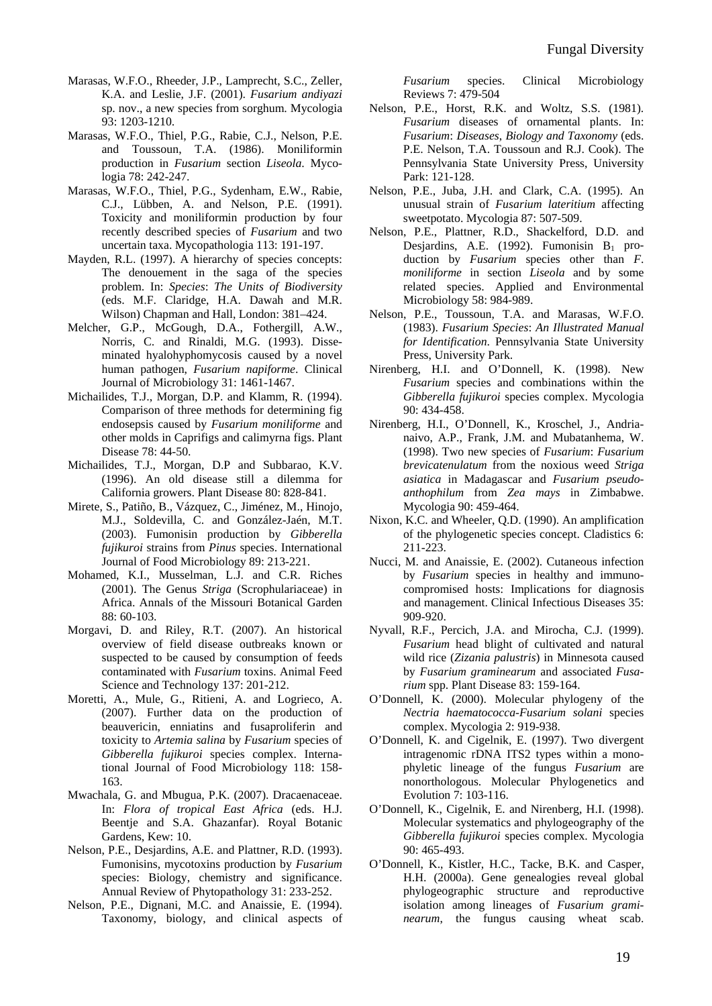- Marasas, W.F.O., Rheeder, J.P., Lamprecht, S.C., Zeller, K.A. and Leslie, J.F. (2001). *Fusarium andiyazi*  sp. nov., a new species from sorghum. Mycologia 93: 1203-1210.
- Marasas, W.F.O., Thiel, P.G., Rabie, C.J., Nelson, P.E. and Toussoun, T.A. (1986). Moniliformin production in *Fusarium* section *Liseola*. Mycologia 78: 242-247.
- Marasas, W.F.O., Thiel, P.G., Sydenham, E.W., Rabie, C.J., Lübben, A. and Nelson, P.E. (1991). Toxicity and moniliformin production by four recently described species of *Fusarium* and two uncertain taxa. Mycopathologia 113: 191-197.
- Mayden, R.L. (1997). A hierarchy of species concepts: The denouement in the saga of the species problem. In: *Species*: *The Units of Biodiversity* (eds. M.F. Claridge, H.A. Dawah and M.R. Wilson) Chapman and Hall, London: 381–424.
- Melcher, G.P., McGough, D.A., Fothergill, A.W., Norris, C. and Rinaldi, M.G. (1993). Disseminated hyalohyphomycosis caused by a novel human pathogen, *Fusarium napiforme*. Clinical Journal of Microbiology 31: 1461-1467.
- Michailides, T.J., Morgan, D.P. and Klamm, R. (1994). Comparison of three methods for determining fig endosepsis caused by *Fusarium moniliforme* and other molds in Caprifigs and calimyrna figs. Plant Disease 78: 44-50.
- Michailides, T.J., Morgan, D.P and Subbarao, K.V. (1996). An old disease still a dilemma for California growers. Plant Disease 80: 828-841.
- Mirete, S., Patiño, B., Vázquez, C., Jiménez, M., Hinojo, M.J., Soldevilla, C. and González-Jaén, M.T. (2003). Fumonisin production by *Gibberella fujikuroi* strains from *Pinus* species. International Journal of Food Microbiology 89: 213-221.
- Mohamed, K.I., Musselman, L.J. and C.R. Riches (2001). The Genus *Striga* (Scrophulariaceae) in Africa. Annals of the Missouri Botanical Garden 88: 60-103.
- Morgavi, D. and Riley, R.T. (2007). An historical overview of field disease outbreaks known or suspected to be caused by consumption of feeds contaminated with *Fusarium* toxins. Animal Feed Science and Technology 137: 201-212.
- Moretti, A., Mule, G., Ritieni, A. and Logrieco, A. (2007). Further data on the production of beauvericin, enniatins and fusaproliferin and toxicity to *Artemia salina* by *Fusarium* species of *Gibberella fujikuroi* species complex. International Journal of Food Microbiology 118: 158- 163.
- Mwachala, G. and Mbugua, P.K. (2007). Dracaenaceae. In: *Flora of tropical East Africa* (eds. H.J. Beentje and S.A. Ghazanfar). Royal Botanic Gardens, Kew: 10.
- Nelson, P.E., Desjardins, A.E. and Plattner, R.D. (1993). Fumonisins, mycotoxins production by *Fusarium* species: Biology, chemistry and significance. Annual Review of Phytopathology 31: 233-252.
- Nelson, P.E., Dignani, M.C. and Anaissie, E. (1994). Taxonomy, biology, and clinical aspects of

*Fusarium* species. Clinical Microbiology Reviews 7: 479-504

- Nelson, P.E., Horst, R.K. and Woltz, S.S. (1981). *Fusarium* diseases of ornamental plants. In: *Fusarium*: *Diseases*, *Biology and Taxonomy* (eds. P.E. Nelson, T.A. Toussoun and R.J. Cook). The Pennsylvania State University Press, University Park: 121-128.
- Nelson, P.E., Juba, J.H. and Clark, C.A. (1995). An unusual strain of *Fusarium lateritium* affecting sweetpotato. Mycologia 87: 507-509.
- Nelson, P.E., Plattner, R.D., Shackelford, D.D. and Desjardins, A.E. (1992). Fumonisin  $B_1$  production by *Fusarium* species other than *F*. *moniliforme* in section *Liseola* and by some related species. Applied and Environmental Microbiology 58: 984-989.
- Nelson, P.E., Toussoun, T.A. and Marasas, W.F.O. (1983). *Fusarium Species*: *An Illustrated Manual for Identification*. Pennsylvania State University Press, University Park.
- Nirenberg, H.I. and O'Donnell, K. (1998). New *Fusarium* species and combinations within the *Gibberella fujikuroi* species complex. Mycologia 90: 434-458.
- Nirenberg, H.I., O'Donnell, K., Kroschel, J., Andrianaivo, A.P., Frank, J.M. and Mubatanhema, W. (1998). Two new species of *Fusarium*: *Fusarium brevicatenulatum* from the noxious weed *Striga asiatica* in Madagascar and *Fusarium pseudoanthophilum* from *Zea mays* in Zimbabwe. Mycologia 90: 459-464.
- Nixon, K.C. and Wheeler, Q.D. (1990). An amplification of the phylogenetic species concept. Cladistics 6: 211-223.
- Nucci, M. and Anaissie, E. (2002). Cutaneous infection by *Fusarium* species in healthy and immunocompromised hosts: Implications for diagnosis and management. Clinical Infectious Diseases 35: 909-920.
- Nyvall, R.F., Percich, J.A. and Mirocha, C.J. (1999). *Fusarium* head blight of cultivated and natural wild rice (*Zizania palustris*) in Minnesota caused by *Fusarium graminearum* and associated *Fusarium* spp. Plant Disease 83: 159-164.
- O'Donnell, K. (2000). Molecular phylogeny of the *Nectria haematococca-Fusarium solani* species complex. Mycologia 2: 919-938.
- O'Donnell, K. and Cigelnik, E. (1997). Two divergent intragenomic rDNA ITS2 types within a monophyletic lineage of the fungus *Fusarium* are nonorthologous. Molecular Phylogenetics and Evolution 7: 103-116.
- O'Donnell, K., Cigelnik, E. and Nirenberg, H.I. (1998). Molecular systematics and phylogeography of the *Gibberella fujikuroi* species complex. Mycologia 90: 465-493.
- O'Donnell, K., Kistler, H.C., Tacke, B.K. and Casper, H.H. (2000a). Gene genealogies reveal global phylogeographic structure and reproductive isolation among lineages of *Fusarium graminearum*, the fungus causing wheat scab.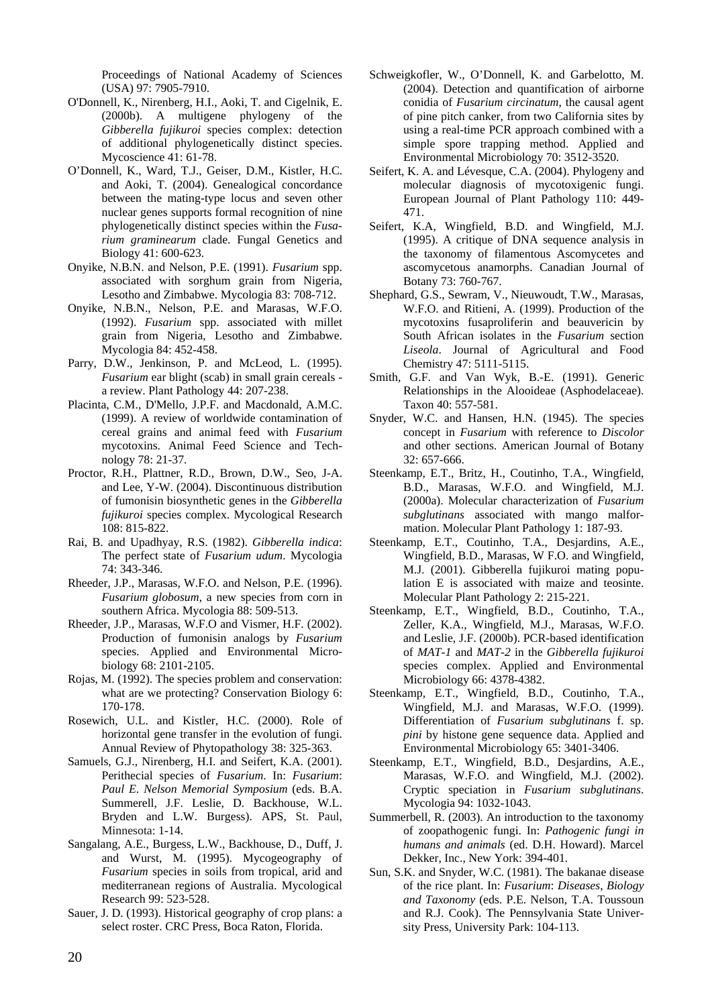Proceedings of National Academy of Sciences (USA) 97: 7905-7910.

- O'Donnell, K., Nirenberg, H.I., Aoki, T. and Cigelnik, E. (2000b). A multigene phylogeny of the *Gibberella fujikuroi* species complex: detection of additional phylogenetically distinct species. Mycoscience 41: 61-78.
- O'Donnell, K., Ward, T.J., Geiser, D.M., Kistler, H.C. and Aoki, T. (2004). Genealogical concordance between the mating-type locus and seven other nuclear genes supports formal recognition of nine phylogenetically distinct species within the *Fusarium graminearum* clade. Fungal Genetics and Biology 41: 600-623.
- Onyike, N.B.N. and Nelson, P.E. (1991). *Fusarium* spp. associated with sorghum grain from Nigeria, Lesotho and Zimbabwe. Mycologia 83: 708-712.
- Onyike, N.B.N., Nelson, P.E. and Marasas, W.F.O. (1992). *Fusarium* spp. associated with millet grain from Nigeria, Lesotho and Zimbabwe. Mycologia 84: 452-458.
- Parry, D.W., Jenkinson, P. and McLeod, L. (1995). *Fusarium* ear blight (scab) in small grain cereals a review. Plant Pathology 44: 207-238.
- Placinta, C.M., D'Mello, J.P.F. and Macdonald, A.M.C. (1999). A review of worldwide contamination of cereal grains and animal feed with *Fusarium* mycotoxins. Animal Feed Science and Technology 78: 21-37.
- Proctor, R.H., Plattner, R.D., Brown, D.W., Seo, J-A. and Lee, Y-W. (2004). Discontinuous distribution of fumonisin biosynthetic genes in the *Gibberella fujikuroi* species complex. Mycological Research 108: 815-822.
- Rai, B. and Upadhyay, R.S. (1982). *Gibberella indica*: The perfect state of *Fusarium udum*. Mycologia 74: 343-346.
- Rheeder, J.P., Marasas, W.F.O. and Nelson, P.E. (1996). *Fusarium globosum*, a new species from corn in southern Africa. Mycologia 88: 509-513.
- Rheeder, J.P., Marasas, W.F.O and Vismer, H.F. (2002). Production of fumonisin analogs by *Fusarium*  species. Applied and Environmental Microbiology 68: 2101-2105.
- Rojas, M. (1992). The species problem and conservation: what are we protecting? Conservation Biology 6: 170-178.
- Rosewich, U.L. and Kistler, H.C. (2000). Role of horizontal gene transfer in the evolution of fungi. Annual Review of Phytopathology 38: 325-363.
- Samuels, G.J., Nirenberg, H.I. and Seifert, K.A. (2001). Perithecial species of *Fusarium*. In: *Fusarium*: *Paul E*. *Nelson Memorial Symposium* (eds. B.A. Summerell, J.F. Leslie, D. Backhouse, W.L. Bryden and L.W. Burgess). APS, St. Paul, Minnesota: 1-14.
- Sangalang, A.E., Burgess, L.W., Backhouse, D., Duff, J. and Wurst, M. (1995). Mycogeography of *Fusarium* species in soils from tropical, arid and mediterranean regions of Australia. Mycological Research 99: 523-528.
- Sauer, J. D. (1993). Historical geography of crop plans: a select roster. CRC Press, Boca Raton, Florida.
- Schweigkofler, W., O'Donnell, K. and Garbelotto, M. (2004). Detection and quantification of airborne conidia of *Fusarium circinatum*, the causal agent of pine pitch canker, from two California sites by using a real-time PCR approach combined with a simple spore trapping method. Applied and Environmental Microbiology 70: 3512-3520.
- Seifert, K. A. and Lévesque, C.A. (2004). Phylogeny and molecular diagnosis of mycotoxigenic fungi. European Journal of Plant Pathology 110: 449- 471.
- Seifert, K.A, Wingfield, B.D. and Wingfield, M.J. (1995). A critique of DNA sequence analysis in the taxonomy of filamentous Ascomycetes and ascomycetous anamorphs. Canadian Journal of Botany 73: 760-767.
- Shephard, G.S., Sewram, V., Nieuwoudt, T.W., Marasas, W.F.O. and Ritieni, A. (1999). Production of the mycotoxins fusaproliferin and beauvericin by South African isolates in the *Fusarium* section *Liseola*. Journal of Agricultural and Food Chemistry 47: 5111-5115.
- Smith, G.F. and Van Wyk, B.-E. (1991). Generic Relationships in the Alooideae (Asphodelaceae). Taxon 40: 557-581.
- Snyder, W.C. and Hansen, H.N. (1945). The species concept in *Fusarium* with reference to *Discolor*  and other sections. American Journal of Botany 32: 657-666.
- Steenkamp, E.T., Britz, H., Coutinho, T.A., Wingfield, B.D., Marasas, W.F.O. and Wingfield, M.J. (2000a). Molecular characterization of *Fusarium subglutinans* associated with mango malformation. Molecular Plant Pathology 1: 187-93.
- Steenkamp, E.T., Coutinho, T.A., Desjardins, A.E., Wingfield, B.D., Marasas, W F.O. and Wingfield, M.J. (2001). Gibberella fujikuroi mating population E is associated with maize and teosinte. Molecular Plant Pathology 2: 215-221.
- Steenkamp, E.T., Wingfield, B.D., Coutinho, T.A., Zeller, K.A., Wingfield, M.J., Marasas, W.F.O. and Leslie, J.F. (2000b). PCR-based identification of *MAT-1* and *MAT-2* in the *Gibberella fujikuroi*  species complex. Applied and Environmental Microbiology 66: 4378-4382.
- Steenkamp, E.T., Wingfield, B.D., Coutinho, T.A., Wingfield, M.J. and Marasas, W.F.O. (1999). Differentiation of *Fusarium subglutinans* f. sp. *pini* by histone gene sequence data. Applied and Environmental Microbiology 65: 3401-3406.
- Steenkamp, E.T., Wingfield, B.D., Desjardins, A.E., Marasas, W.F.O. and Wingfield, M.J. (2002). Cryptic speciation in *Fusarium subglutinans*. Mycologia 94: 1032-1043.
- Summerbell, R. (2003). An introduction to the taxonomy of zoopathogenic fungi. In: *Pathogenic fungi in humans and animals* (ed. D.H. Howard). Marcel Dekker, Inc., New York: 394-401.
- Sun, S.K. and Snyder, W.C. (1981). The bakanae disease of the rice plant. In: *Fusarium*: *Diseases*, *Biology and Taxonomy* (eds. P.E. Nelson, T.A. Toussoun and R.J. Cook). The Pennsylvania State University Press, University Park: 104-113.